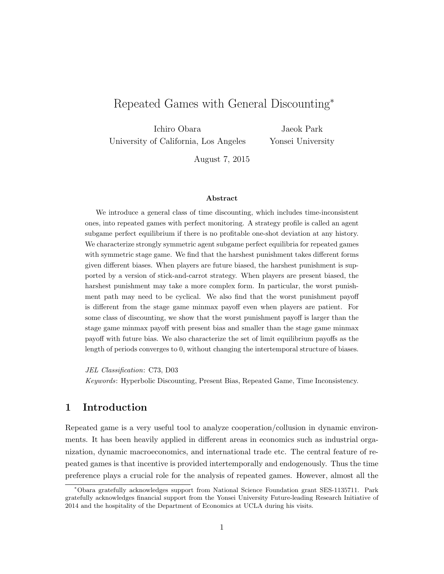# Repeated Games with General Discounting<sup>∗</sup>

Ichiro Obara University of California, Los Angeles

Jaeok Park Yonsei University

August 7, 2015

#### Abstract

We introduce a general class of time discounting, which includes time-inconsistent ones, into repeated games with perfect monitoring. A strategy profile is called an agent subgame perfect equilibrium if there is no profitable one-shot deviation at any history. We characterize strongly symmetric agent subgame perfect equilibria for repeated games with symmetric stage game. We find that the harshest punishment takes different forms given different biases. When players are future biased, the harshest punishment is supported by a version of stick-and-carrot strategy. When players are present biased, the harshest punishment may take a more complex form. In particular, the worst punishment path may need to be cyclical. We also find that the worst punishment payoff is different from the stage game minmax payoff even when players are patient. For some class of discounting, we show that the worst punishment payoff is larger than the stage game minmax payoff with present bias and smaller than the stage game minmax payoff with future bias. We also characterize the set of limit equilibrium payoffs as the length of periods converges to 0, without changing the intertemporal structure of biases.

JEL Classification: C73, D03

Keywords: Hyperbolic Discounting, Present Bias, Repeated Game, Time Inconsistency.

# 1 Introduction

Repeated game is a very useful tool to analyze cooperation/collusion in dynamic environments. It has been heavily applied in different areas in economics such as industrial organization, dynamic macroeconomics, and international trade etc. The central feature of repeated games is that incentive is provided intertemporally and endogenously. Thus the time preference plays a crucial role for the analysis of repeated games. However, almost all the

<sup>∗</sup>Obara gratefully acknowledges support from National Science Foundation grant SES-1135711. Park gratefully acknowledges financial support from the Yonsei University Future-leading Research Initiative of 2014 and the hospitality of the Department of Economics at UCLA during his visits.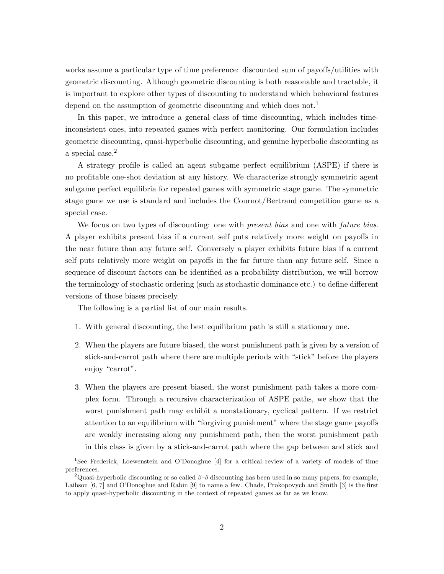works assume a particular type of time preference: discounted sum of payoffs/utilities with geometric discounting. Although geometric discounting is both reasonable and tractable, it is important to explore other types of discounting to understand which behavioral features depend on the assumption of geometric discounting and which does not.<sup>1</sup>

In this paper, we introduce a general class of time discounting, which includes timeinconsistent ones, into repeated games with perfect monitoring. Our formulation includes geometric discounting, quasi-hyperbolic discounting, and genuine hyperbolic discounting as a special case.<sup>2</sup>

A strategy profile is called an agent subgame perfect equilibrium (ASPE) if there is no profitable one-shot deviation at any history. We characterize strongly symmetric agent subgame perfect equilibria for repeated games with symmetric stage game. The symmetric stage game we use is standard and includes the Cournot/Bertrand competition game as a special case.

We focus on two types of discounting: one with *present bias* and one with *future bias*. A player exhibits present bias if a current self puts relatively more weight on payoffs in the near future than any future self. Conversely a player exhibits future bias if a current self puts relatively more weight on payoffs in the far future than any future self. Since a sequence of discount factors can be identified as a probability distribution, we will borrow the terminology of stochastic ordering (such as stochastic dominance etc.) to define different versions of those biases precisely.

The following is a partial list of our main results.

- 1. With general discounting, the best equilibrium path is still a stationary one.
- 2. When the players are future biased, the worst punishment path is given by a version of stick-and-carrot path where there are multiple periods with "stick" before the players enjoy "carrot".
- 3. When the players are present biased, the worst punishment path takes a more complex form. Through a recursive characterization of ASPE paths, we show that the worst punishment path may exhibit a nonstationary, cyclical pattern. If we restrict attention to an equilibrium with "forgiving punishment" where the stage game payoffs are weakly increasing along any punishment path, then the worst punishment path in this class is given by a stick-and-carrot path where the gap between and stick and

<sup>1</sup>See Frederick, Loewenstein and O'Donoghue [4] for a critical review of a variety of models of time preferences.

<sup>&</sup>lt;sup>2</sup>Quasi-hyperbolic discounting or so called  $\beta-\delta$  discounting has been used in so many papers, for example, Laibson [6, 7] and O'Donoghue and Rabin [9] to name a few. Chade, Prokopovych and Smith [3] is the first to apply quasi-hyperbolic discounting in the context of repeated games as far as we know.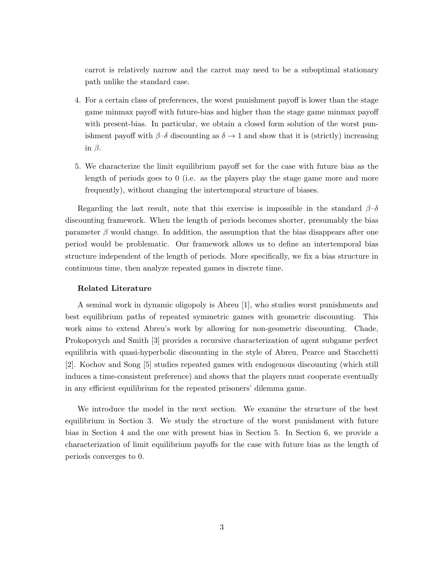carrot is relatively narrow and the carrot may need to be a suboptimal stationary path unlike the standard case.

- 4. For a certain class of preferences, the worst punishment payoff is lower than the stage game minmax payoff with future-bias and higher than the stage game minmax payoff with present-bias. In particular, we obtain a closed form solution of the worst punishment payoff with  $\beta-\delta$  discounting as  $\delta \to 1$  and show that it is (strictly) increasing in β.
- 5. We characterize the limit equilibrium payoff set for the case with future bias as the length of periods goes to 0 (i.e. as the players play the stage game more and more frequently), without changing the intertemporal structure of biases.

Regarding the last result, note that this exercise is impossible in the standard  $\beta-\delta$ discounting framework. When the length of periods becomes shorter, presumably the bias parameter  $\beta$  would change. In addition, the assumption that the bias disappears after one period would be problematic. Our framework allows us to define an intertemporal bias structure independent of the length of periods. More specifically, we fix a bias structure in continuous time, then analyze repeated games in discrete time.

#### Related Literature

A seminal work in dynamic oligopoly is Abreu [1], who studies worst punishments and best equilibrium paths of repeated symmetric games with geometric discounting. This work aims to extend Abreu's work by allowing for non-geometric discounting. Chade, Prokopovych and Smith [3] provides a recursive characterization of agent subgame perfect equilibria with quasi-hyperbolic discounting in the style of Abreu, Pearce and Stacchetti [2]. Kochov and Song [5] studies repeated games with endogenous discounting (which still induces a time-consistent preference) and shows that the players must cooperate eventually in any efficient equilibrium for the repeated prisoners' dilemma game.

We introduce the model in the next section. We examine the structure of the best equilibrium in Section 3. We study the structure of the worst punishment with future bias in Section 4 and the one with present bias in Section 5. In Section 6, we provide a characterization of limit equilibrium payoffs for the case with future bias as the length of periods converges to 0.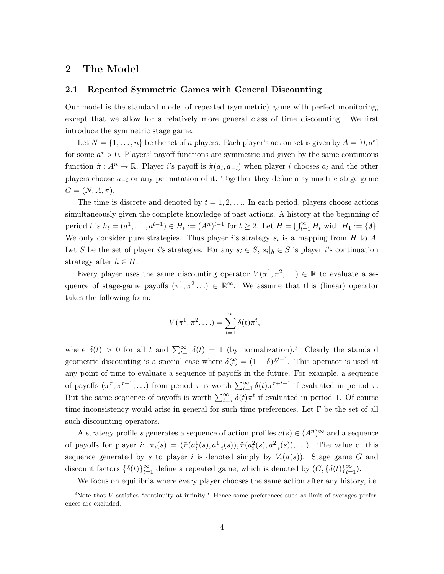### 2 The Model

#### 2.1 Repeated Symmetric Games with General Discounting

Our model is the standard model of repeated (symmetric) game with perfect monitoring, except that we allow for a relatively more general class of time discounting. We first introduce the symmetric stage game.

Let  $N = \{1, \ldots, n\}$  be the set of n players. Each player's action set is given by  $A = [0, a^*]$ for some  $a^* > 0$ . Players' payoff functions are symmetric and given by the same continuous function  $\tilde{\pi}: A^n \to \mathbb{R}$ . Player *i*'s payoff is  $\tilde{\pi}(a_i, a_{-i})$  when player *i* chooses  $a_i$  and the other players choose  $a_{-i}$  or any permutation of it. Together they define a symmetric stage game  $G = (N, A, \tilde{\pi}).$ 

The time is discrete and denoted by  $t = 1, 2, \ldots$  In each period, players choose actions simultaneously given the complete knowledge of past actions. A history at the beginning of period t is  $h_t = (a^1, ..., a^{t-1}) \in H_t := (A^n)^{t-1}$  for  $t \ge 2$ . Let  $H = \bigcup_{t=1}^{\infty} H_t$  with  $H_1 := \{\emptyset\}.$ We only consider pure strategies. Thus player i's strategy  $s_i$  is a mapping from H to A. Let S be the set of player i's strategies. For any  $s_i \in S$ ,  $s_i |_{h} \in S$  is player i's continuation strategy after  $h \in H$ .

Every player uses the same discounting operator  $V(\pi^1, \pi^2, ...) \in \mathbb{R}$  to evaluate a sequence of stage-game payoffs  $(\pi^1, \pi^2...) \in \mathbb{R}^\infty$ . We assume that this (linear) operator takes the following form:

$$
V(\pi^1, \pi^2, \ldots) = \sum_{t=1}^{\infty} \delta(t) \pi^t,
$$

where  $\delta(t) > 0$  for all t and  $\sum_{t=1}^{\infty} \delta(t) = 1$  (by normalization).<sup>3</sup> Clearly the standard geometric discounting is a special case where  $\delta(t) = (1 - \delta)\delta^{t-1}$ . This operator is used at any point of time to evaluate a sequence of payoffs in the future. For example, a sequence of payoffs  $(\pi^{\tau}, \pi^{\tau+1}, \ldots)$  from period  $\tau$  is worth  $\sum_{t=1}^{\infty} \delta(t) \pi^{\tau+t-1}$  if evaluated in period  $\tau$ . But the same sequence of payoffs is worth  $\sum_{t=\tau}^{\infty} \delta(t) \pi^t$  if evaluated in period 1. Of course time inconsistency would arise in general for such time preferences. Let  $\Gamma$  be the set of all such discounting operators.

A strategy profile s generates a sequence of action profiles  $a(s) \in (A^n)^\infty$  and a sequence of payoffs for player *i*:  $\pi_i(s) = (\tilde{\pi}(a_i^1(s), a_{-i}^1(s)), \tilde{\pi}(a_i^2(s), a_{-i}^2(s)), \ldots)$ . The value of this sequence generated by s to player i is denoted simply by  $V_i(a(s))$ . Stage game G and discount factors  $\{\delta(t)\}_{t=1}^{\infty}$  define a repeated game, which is denoted by  $(G, \{\delta(t)\}_{t=1}^{\infty})$ .

We focus on equilibria where every player chooses the same action after any history, i.e.

 $3$ Note that V satisfies "continuity at infinity." Hence some preferences such as limit-of-averages preferences are excluded.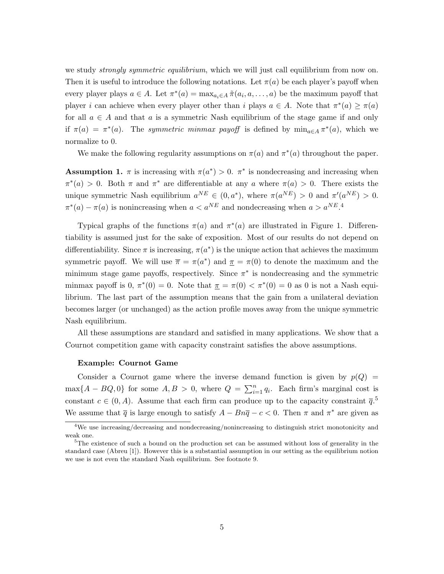we study *strongly symmetric equilibrium*, which we will just call equilibrium from now on. Then it is useful to introduce the following notations. Let  $\pi(a)$  be each player's payoff when every player plays  $a \in A$ . Let  $\pi^*(a) = \max_{a_i \in A} \tilde{\pi}(a_i, a, \dots, a)$  be the maximum payoff that player i can achieve when every player other than i plays  $a \in A$ . Note that  $\pi^*(a) \geq \pi(a)$ for all  $a \in A$  and that a is a symmetric Nash equilibrium of the stage game if and only if  $\pi(a) = \pi^*(a)$ . The symmetric minmax payoff is defined by  $\min_{a \in A} \pi^*(a)$ , which we normalize to 0.

We make the following regularity assumptions on  $\pi(a)$  and  $\pi^*(a)$  throughout the paper.

**Assumption 1.**  $\pi$  is increasing with  $\pi(a^*) > 0$ .  $\pi^*$  is nondecreasing and increasing when  $\pi^*(a) > 0$ . Both  $\pi$  and  $\pi^*$  are differentiable at any a where  $\pi(a) > 0$ . There exists the unique symmetric Nash equilibrium  $a^{NE} \in (0, a^*)$ , where  $\pi(a^{NE}) > 0$  and  $\pi'(a^{NE}) > 0$ .  $\pi^*(a) - \pi(a)$  is nonincreasing when  $a < a^{NE}$  and nondecreasing when  $a > a^{NE}$ .

Typical graphs of the functions  $\pi(a)$  and  $\pi^*(a)$  are illustrated in Figure 1. Differentiability is assumed just for the sake of exposition. Most of our results do not depend on differentiability. Since  $\pi$  is increasing,  $\pi(a^*)$  is the unique action that achieves the maximum symmetric payoff. We will use  $\bar{\pi} = \pi(a^*)$  and  $\underline{\pi} = \pi(0)$  to denote the maximum and the minimum stage game payoffs, respectively. Since  $\pi^*$  is nondecreasing and the symmetric minmax payoff is  $0, \pi^*(0) = 0$ . Note that  $\pi = \pi(0) < \pi^*(0) = 0$  as 0 is not a Nash equilibrium. The last part of the assumption means that the gain from a unilateral deviation becomes larger (or unchanged) as the action profile moves away from the unique symmetric Nash equilibrium.

All these assumptions are standard and satisfied in many applications. We show that a Cournot competition game with capacity constraint satisfies the above assumptions.

#### Example: Cournot Game

Consider a Cournot game where the inverse demand function is given by  $p(Q)$  $\max\{A - BQ, 0\}$  for some  $A, B > 0$ , where  $Q = \sum_{i=1}^{n} q_i$ . Each firm's marginal cost is constant  $c \in (0, A)$ . Assume that each firm can produce up to the capacity constraint  $\overline{q}$ .<sup>5</sup> We assume that  $\bar{q}$  is large enough to satisfy  $A - B n \bar{q} - c < 0$ . Then  $\pi$  and  $\pi^*$  are given as

<sup>&</sup>lt;sup>4</sup>We use increasing/decreasing and nondecreasing/nonincreasing to distinguish strict monotonicity and weak one.

<sup>&</sup>lt;sup>5</sup>The existence of such a bound on the production set can be assumed without loss of generality in the standard case (Abreu [1]). However this is a substantial assumption in our setting as the equilibrium notion we use is not even the standard Nash equilibrium. See footnote 9.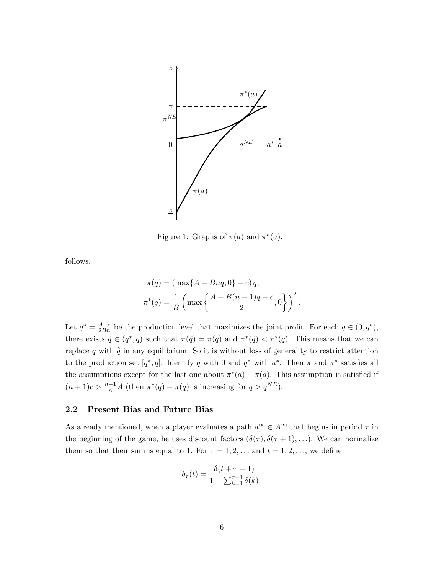

Figure 1: Graphs of  $\pi(a)$  and  $\pi^*(a)$ .

follows.

$$
\pi(q) = (\max\{A - Bnq, 0\} - c) q,
$$
  

$$
\pi^*(q) = \frac{1}{B} \left( \max \left\{ \frac{A - B(n-1)q - c}{2}, 0 \right\} \right)^2.
$$

 $(n+1)c > \frac{n-1}{n}A$  (then  $\pi^*(q) - \pi(q)$  is increasing for  $q > q^{NE}$ ). Let  $q^* = \frac{A-c}{2Bn}$  be the production level that maximizes the joint profit. For each  $q \in (0, q^*)$ , there exists  $\widetilde{q} \in (q^*, \overline{q})$  such that  $\pi(\widetilde{q}) = \pi(q)$  and  $\pi^*(\widetilde{q}) < \pi^*(q)$ . This means that we can replace q with  $\tilde{q}$  in any equilibrium. So it is without loss of generality to restrict attention to the production set  $[q^*, \overline{q}]$ . Identify  $\overline{q}$  with 0 and  $q^*$  with  $a^*$ . Then  $\pi$  and  $\pi^*$  satisfies all the assumptions except for the last one about  $\pi^*(a) - \pi(a)$ . This assumption is satisfied if

#### 2.2 Present Bias and Future Bias

As already mentioned, when a player evaluates a path  $a^{\infty} \in A^{\infty}$  that begins in period  $\tau$  in the beginning of the game, he uses discount factors  $(\delta(\tau), \delta(\tau+1), \ldots)$ . We can normalize them so that their sum is equal to 1. For  $\tau = 1, 2, \ldots$  and  $t = 1, 2, \ldots$ , we define

$$
\delta_{\tau}(t) = \frac{\delta(t + \tau - 1)}{1 - \sum_{k=1}^{\tau - 1} \delta(k)}.
$$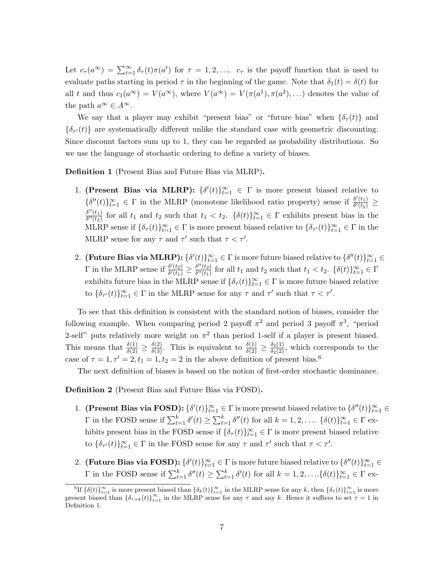Let  $c_{\tau}(a^{\infty}) = \sum_{t=1}^{\infty} \delta_{\tau}(t) \pi(a^t)$  for  $\tau = 1, 2, \ldots$   $c_{\tau}$  is the payoff function that is used to evaluate paths starting in period  $\tau$  in the beginning of the game. Note that  $\delta_1(t) = \delta(t)$  for all t and thus  $c_1(a^{\infty}) = V(a^{\infty})$ , where  $V(a^{\infty}) = V(\pi(a^1), \pi(a^2), ...)$  denotes the value of the path  $a^{\infty} \in A^{\infty}$ .

We say that a player may exhibit "present bias" or "future bias" when  $\{\delta_\tau(t)\}\$  and  $\{\delta_{\tau'}(t)\}\$ are systematically different unlike the standard case with geometric discounting. Since discount factors sum up to 1, they can be regarded as probability distributions. So we use the language of stochastic ordering to define a variety of biases.

Definition 1 (Present Bias and Future Bias via MLRP).

- 1. (Present Bias via MLRP):  $\{\delta'(t)\}_{t=1}^{\infty} \in \Gamma$  is more present biased relative to  $\{\delta''(t)\}_{t=1}^{\infty} \in \Gamma$  in the MLRP (monotone likelihood ratio property) sense if  $\frac{\delta'(t_1)}{\delta'(t_2)}$  $\frac{\partial'(t_1)}{\partial'(t_2)} \ge$  $\delta''(t_1)$  $\delta''(t_1)$  for all  $t_1$  and  $t_2$  such that  $t_1 < t_2$ .  $\{\delta(t)\}_{t=1}^{\infty} \in \Gamma$  exhibits present bias in the MLRP sense if  $\{\delta_\tau(t)\}_{t=1}^\infty \in \Gamma$  is more present biased relative to  $\{\delta_{\tau'}(t)\}_{t=1}^\infty \in \Gamma$  in the MLRP sense for any  $\tau$  and  $\tau'$  such that  $\tau < \tau'$ .
- 2. (Future Bias via MLRP):  $\{\delta'(t)\}_{t=1}^{\infty} \in \Gamma$  is more future biased relative to  $\{\delta''(t)\}_{t=1}^{\infty} \in$  $\Gamma$  in the MLRP sense if  $\frac{\delta'(t_2)}{\delta'(t_1)}$  $\frac{\delta'(t_2)}{\delta'(t_1)} \geq \frac{\delta''(t_2)}{\delta''(t_1)}$  $\frac{\delta^{n}(t_2)}{\delta^{n}(t_1)}$  for all  $t_1$  and  $t_2$  such that  $t_1 < t_2$ .  $\{\delta(t)\}_{t=1}^{\infty} \in \Gamma$ exhibits future bias in the MLRP sense if  $\{\delta_{\tau}(t)\}_{t=1}^{\infty} \in \Gamma$  is more future biased relative to  $\{\delta_{\tau'}(t)\}_{t=1}^{\infty} \in \Gamma$  in the MLRP sense for any  $\tau$  and  $\tau'$  such that  $\tau < \tau'$ .

To see that this definition is consistent with the standard notion of biases, consider the following example. When comparing period 2 payoff  $\pi^2$  and period 3 payoff  $\pi^3$ , "period 2-self" puts relatively more weight on  $\pi^2$  than period 1-self if a player is present biased. This means that  $\frac{\delta(1)}{\delta(2)} \ge \frac{\delta(2)}{\delta(3)}$ . This is equivalent to  $\frac{\delta(1)}{\delta(2)} \ge \frac{\delta_2(1)}{\delta_2(2)}$ , which corresponds to the case of  $\tau = 1, \tau' = 2, t_1 = 1, t_2 = 2$  in the above definition of present bias.<sup>6</sup>

The next definition of biases is based on the notion of first-order stochastic dominance.

Definition 2 (Present Bias and Future Bias via FOSD).

- 1. (Present Bias via FOSD):  $\{\delta'(t)\}_{t=1}^{\infty} \in \Gamma$  is more present biased relative to  $\{\delta''(t)\}_{t=1}^{\infty} \in$  $\Gamma$  in the FOSD sense if  $\sum_{t=1}^{k} \delta'(t) \geq \sum_{t=1}^{k} \delta''(t)$  for all  $k = 1, 2, \ldots$   $\{\delta(t)\}_{t=1}^{\infty} \in \Gamma$  exhibits present bias in the FOSD sense if  $\{\delta_\tau(t)\}_{t=1}^\infty \in \Gamma$  is more present biased relative to  $\{\delta_{\tau'}(t)\}_{t=1}^{\infty} \in \Gamma$  in the FOSD sense for any  $\tau$  and  $\tau'$  such that  $\tau < \tau'$ .
- 2. (Future Bias via FOSD):  $\{\delta'(t)\}_{t=1}^\infty\in\Gamma$  is more future biased relative to  $\{\delta''(t)\}_{t=1}^\infty\in\Gamma$  $\Gamma$  in the FOSD sense if  $\sum_{t=1}^{k} \delta''(t) \geq \sum_{t=1}^{k} \delta'(t)$  for all  $k = 1, 2, \ldots \{\delta(t)\}_{t=1}^{\infty} \in \Gamma$  ex-

<sup>&</sup>lt;sup>6</sup>If  $\{\delta(t)\}_{t=1}^{\infty}$  is more present biased than  $\{\delta_k(t)\}_{t=1}^{\infty}$  in the MLRP sense for any k, then  $\{\delta_{\tau}(t)\}_{t=1}^{\infty}$  is more present biased than  $\{\delta_{\tau+k}(t)\}_{t=1}^{\infty}$  in the MLRP sense for any  $\tau$  and any k. Hence it suffices to set  $\tau=1$  in Definition 1.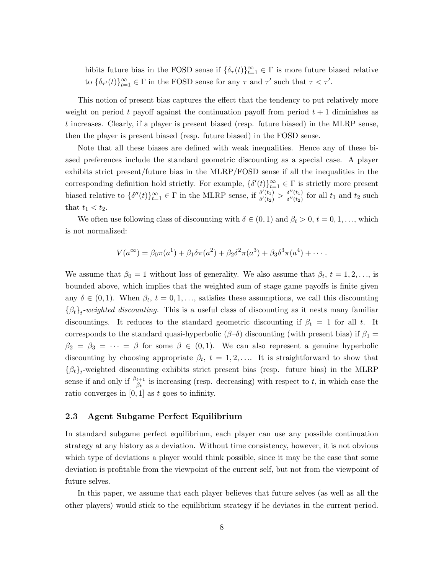hibits future bias in the FOSD sense if  $\{\delta_{\tau}(t)\}_{t=1}^{\infty} \in \Gamma$  is more future biased relative to  $\{\delta_{\tau'}(t)\}_{t=1}^{\infty} \in \Gamma$  in the FOSD sense for any  $\tau$  and  $\tau'$  such that  $\tau < \tau'$ .

This notion of present bias captures the effect that the tendency to put relatively more weight on period t payoff against the continuation payoff from period  $t + 1$  diminishes as t increases. Clearly, if a player is present biased (resp. future biased) in the MLRP sense, then the player is present biased (resp. future biased) in the FOSD sense.

Note that all these biases are defined with weak inequalities. Hence any of these biased preferences include the standard geometric discounting as a special case. A player exhibits strict present/future bias in the MLRP/FOSD sense if all the inequalities in the corresponding definition hold strictly. For example,  $\{\delta'(t)\}_{t=1}^{\infty} \in \Gamma$  is strictly more present biased relative to  $\{\delta''(t)\}_{t=1}^{\infty} \in \Gamma$  in the MLRP sense, if  $\frac{\delta'(t_1)}{\delta'(t_2)}$  $\frac{\delta'(t_1)}{\delta'(t_2)} > \frac{\delta''(t_1)}{\delta''(t_2)}$  $\frac{\partial^{\alpha}(t_1)}{\partial^{\alpha}(t_2)}$  for all  $t_1$  and  $t_2$  such that  $t_1 < t_2$ .

We often use following class of discounting with  $\delta \in (0,1)$  and  $\beta_t > 0$ ,  $t = 0,1,...$ , which is not normalized:

$$
V(a^{\infty}) = \beta_0 \pi(a^1) + \beta_1 \delta \pi(a^2) + \beta_2 \delta^2 \pi(a^3) + \beta_3 \delta^3 \pi(a^4) + \cdots
$$

We assume that  $\beta_0 = 1$  without loss of generality. We also assume that  $\beta_t$ ,  $t = 1, 2, \ldots$ , is bounded above, which implies that the weighted sum of stage game payoffs is finite given any  $\delta \in (0,1)$ . When  $\beta_t$ ,  $t = 0,1,...$ , satisfies these assumptions, we call this discounting  $\{\beta_t\}_t$ -weighted discounting. This is a useful class of discounting as it nests many familiar discountings. It reduces to the standard geometric discounting if  $\beta_t = 1$  for all t. It corresponds to the standard quasi-hyperbolic ( $\beta-\delta$ ) discounting (with present bias) if  $\beta_1 =$  $\beta_2 = \beta_3 = \cdots = \beta$  for some  $\beta \in (0,1)$ . We can also represent a genuine hyperbolic discounting by choosing appropriate  $\beta_t$ ,  $t = 1, 2, \ldots$  It is straightforward to show that  $\{\beta_t\}_t$ -weighted discounting exhibits strict present bias (resp. future bias) in the MLRP sense if and only if  $\frac{\beta_{t+1}}{\beta_t}$  is increasing (resp. decreasing) with respect to t, in which case the ratio converges in  $[0, 1]$  as t goes to infinity.

#### 2.3 Agent Subgame Perfect Equilibrium

In standard subgame perfect equilibrium, each player can use any possible continuation strategy at any history as a deviation. Without time consistency, however, it is not obvious which type of deviations a player would think possible, since it may be the case that some deviation is profitable from the viewpoint of the current self, but not from the viewpoint of future selves.

In this paper, we assume that each player believes that future selves (as well as all the other players) would stick to the equilibrium strategy if he deviates in the current period.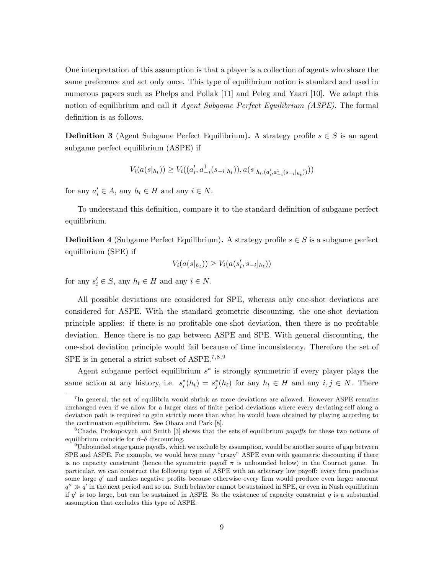One interpretation of this assumption is that a player is a collection of agents who share the same preference and act only once. This type of equilibrium notion is standard and used in numerous papers such as Phelps and Pollak [11] and Peleg and Yaari [10]. We adapt this notion of equilibrium and call it Agent Subgame Perfect Equilibrium (ASPE). The formal definition is as follows.

**Definition 3** (Agent Subgame Perfect Equilibrium). A strategy profile  $s \in S$  is an agent subgame perfect equilibrium (ASPE) if

$$
V_i(a(s|h_t)) \ge V_i((a'_i, a^1_{-i}(s_{-i}|_{h_t})), a(s|h_{t}, (a'_i, a^1_{-i}(s_{-i}|_{h_t})))
$$

for any  $a'_i \in A$ , any  $h_t \in H$  and any  $i \in N$ .

To understand this definition, compare it to the standard definition of subgame perfect equilibrium.

**Definition 4** (Subgame Perfect Equilibrium). A strategy profile  $s \in S$  is a subgame perfect equilibrium (SPE) if

$$
V_i(a(s|h_t)) \ge V_i(a(s'_i, s_{-i}|_{h_t}))
$$

for any  $s_i' \in S$ , any  $h_t \in H$  and any  $i \in N$ .

All possible deviations are considered for SPE, whereas only one-shot deviations are considered for ASPE. With the standard geometric discounting, the one-shot deviation principle applies: if there is no profitable one-shot deviation, then there is no profitable deviation. Hence there is no gap between ASPE and SPE. With general discounting, the one-shot deviation principle would fail because of time inconsistency. Therefore the set of SPE is in general a strict subset of ASPE.<sup>7,8,9</sup>

Agent subgame perfect equilibrium  $s<sup>∗</sup>$  is strongly symmetric if every player plays the same action at any history, i.e.  $s_i^*(h_t) = s_j^*(h_t)$  for any  $h_t \in H$  and any  $i, j \in N$ . There

<sup>&</sup>lt;sup>7</sup>In general, the set of equilibria would shrink as more deviations are allowed. However ASPE remains unchanged even if we allow for a larger class of finite period deviations where every deviating-self along a deviation path is required to gain strictly more than what he would have obtained by playing according to the continuation equilibrium. See Obara and Park [8].

<sup>&</sup>lt;sup>8</sup>Chade, Prokopovych and Smith [3] shows that the sets of equilibrium *payoffs* for these two notions of equilibrium coincide for  $\beta-\delta$  discounting.

 $9$ Unbounded stage game payoffs, which we exclude by assumption, would be another source of gap between SPE and ASPE. For example, we would have many "crazy" ASPE even with geometric discounting if there is no capacity constraint (hence the symmetric payoff  $\pi$  is unbounded below) in the Cournot game. In particular, we can construct the following type of ASPE with an arbitrary low payoff: every firm produces some large  $q'$  and makes negative profits because otherwise every firm would produce even larger amount  $q'' \gg q'$  in the next period and so on. Such behavior cannot be sustained in SPE, or even in Nash equilibrium if  $q'$  is too large, but can be sustained in ASPE. So the existence of capacity constraint  $\overline{q}$  is a substantial assumption that excludes this type of ASPE.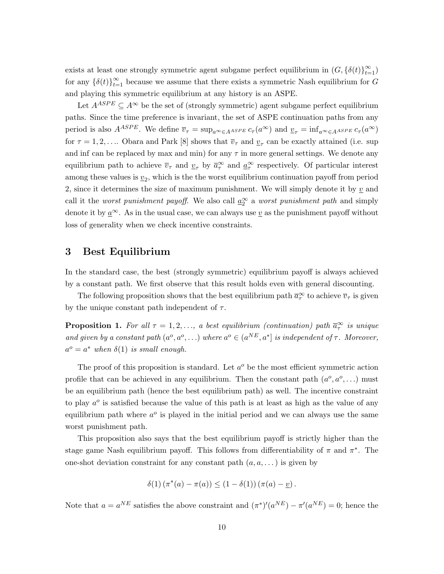exists at least one strongly symmetric agent subgame perfect equilibrium in  $(G, \{\delta(t)\}_{t=1}^{\infty})$ for any  $\{\delta(t)\}_{t=1}^{\infty}$  because we assume that there exists a symmetric Nash equilibrium for G and playing this symmetric equilibrium at any history is an ASPE.

Let  $A^{ASPE} \subseteq A^{\infty}$  be the set of (strongly symmetric) agent subgame perfect equilibrium paths. Since the time preference is invariant, the set of ASPE continuation paths from any period is also  $A^{ASPE}$ . We define  $\overline{v}_{\tau} = \sup_{a^{\infty} \in A^{ASPE}} c_{\tau}(a^{\infty})$  and  $\underline{v}_{\tau} = \inf_{a^{\infty} \in A^{ASPE}} c_{\tau}(a^{\infty})$ for  $\tau = 1, 2, \ldots$  Obara and Park [8] shows that  $\overline{v}_{\tau}$  and  $\underline{v}_{\tau}$  can be exactly attained (i.e. sup and inf can be replaced by max and min) for any  $\tau$  in more general settings. We denote any equilibrium path to achieve  $\overline{v}_{\tau}$  and  $\underline{v}_{\tau}$  by  $\overline{a}_{\tau}^{\infty}$  and  $\underline{a}_{\tau}^{\infty}$  respectively. Of particular interest among these values is  $\underline{v}_2$ , which is the the worst equilibrium continuation payoff from period 2, since it determines the size of maximum punishment. We will simply denote it by  $v$  and call it the *worst punishment payoff*. We also call  $\underline{a}_2^{\infty}$  a *worst punishment path* and simply denote it by  $a^{\infty}$ . As in the usual case, we can always use v as the punishment payoff without loss of generality when we check incentive constraints.

### 3 Best Equilibrium

In the standard case, the best (strongly symmetric) equilibrium payoff is always achieved by a constant path. We first observe that this result holds even with general discounting.

The following proposition shows that the best equilibrium path  $\bar{a}^{\infty}_{\tau}$  to achieve  $\bar{v}_{\tau}$  is given by the unique constant path independent of  $\tau$ .

**Proposition 1.** For all  $\tau = 1, 2, \ldots$ , a best equilibrium (continuation) path  $\overline{a}_{\tau}^{\infty}$  is unique and given by a constant path  $(a^o, a^o, \ldots)$  where  $a^o \in (a^{NE}, a^*]$  is independent of  $\tau$ . Moreover,  $a^o = a^*$  when  $\delta(1)$  is small enough.

The proof of this proposition is standard. Let  $a^o$  be the most efficient symmetric action profile that can be achieved in any equilibrium. Then the constant path  $(a^o, a^o, \ldots)$  must be an equilibrium path (hence the best equilibrium path) as well. The incentive constraint to play  $a^{\circ}$  is satisfied because the value of this path is at least as high as the value of any equilibrium path where  $a^{\circ}$  is played in the initial period and we can always use the same worst punishment path.

This proposition also says that the best equilibrium payoff is strictly higher than the stage game Nash equilibrium payoff. This follows from differentiability of  $\pi$  and  $\pi^*$ . The one-shot deviation constraint for any constant path  $(a, a, \dots)$  is given by

$$
\delta(1) (\pi^*(a) - \pi(a)) \le (1 - \delta(1)) (\pi(a) - \underline{v}).
$$

Note that  $a = a^{NE}$  satisfies the above constraint and  $(\pi^*)'(a^{NE}) - \pi'(a^{NE}) = 0$ ; hence the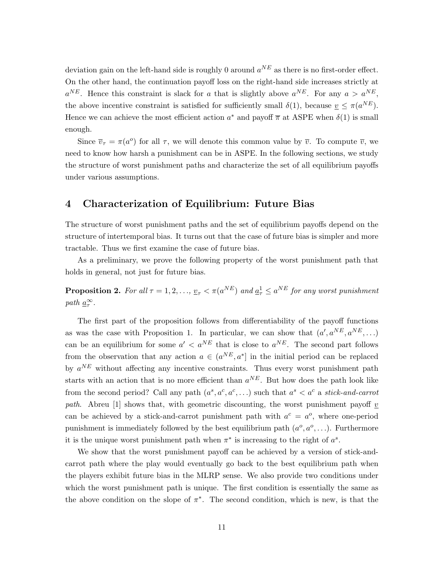deviation gain on the left-hand side is roughly 0 around  $a^{NE}$  as there is no first-order effect. On the other hand, the continuation payoff loss on the right-hand side increases strictly at  $a^{NE}$ . Hence this constraint is slack for a that is slightly above  $a^{NE}$ . For any  $a > a^{NE}$ , the above incentive constraint is satisfied for sufficiently small  $\delta(1)$ , because  $v \leq \pi(a^{NE})$ . Hence we can achieve the most efficient action  $a^*$  and payoff  $\overline{\pi}$  at ASPE when  $\delta(1)$  is small enough.

Since  $\overline{v}_{\tau} = \pi(a^{\circ})$  for all  $\tau$ , we will denote this common value by  $\overline{v}$ . To compute  $\overline{v}$ , we need to know how harsh a punishment can be in ASPE. In the following sections, we study the structure of worst punishment paths and characterize the set of all equilibrium payoffs under various assumptions.

### 4 Characterization of Equilibrium: Future Bias

The structure of worst punishment paths and the set of equilibrium payoffs depend on the structure of intertemporal bias. It turns out that the case of future bias is simpler and more tractable. Thus we first examine the case of future bias.

As a preliminary, we prove the following property of the worst punishment path that holds in general, not just for future bias.

**Proposition 2.** For all  $\tau = 1, 2, ..., \underline{v}_{\tau} < \pi(a^{NE})$  and  $\underline{a}_{\tau}^1 \le a^{NE}$  for any worst punishment path  $\underline{a}_{\tau}^{\infty}$ .

The first part of the proposition follows from differentiability of the payoff functions as was the case with Proposition 1. In particular, we can show that  $(a', a^{NE}, a^{NE}, ...)$ can be an equilibrium for some  $a' < a^{NE}$  that is close to  $a^{NE}$ . The second part follows from the observation that any action  $a \in (a^{NE}, a^*]$  in the initial period can be replaced by  $a^{NE}$  without affecting any incentive constraints. Thus every worst punishment path starts with an action that is no more efficient than  $a^{NE}$ . But how does the path look like from the second period? Call any path  $(a^s, a^c, a^c, ...)$  such that  $a^s < a^c$  a stick-and-carrot path. Abreu [1] shows that, with geometric discounting, the worst punishment payoff  $v$ can be achieved by a stick-and-carrot punishment path with  $a^c = a^o$ , where one-period punishment is immediately followed by the best equilibrium path  $(a^{\circ}, a^{\circ}, \ldots)$ . Furthermore it is the unique worst punishment path when  $\pi^*$  is increasing to the right of  $a^s$ .

We show that the worst punishment payoff can be achieved by a version of stick-andcarrot path where the play would eventually go back to the best equilibrium path when the players exhibit future bias in the MLRP sense. We also provide two conditions under which the worst punishment path is unique. The first condition is essentially the same as the above condition on the slope of  $\pi^*$ . The second condition, which is new, is that the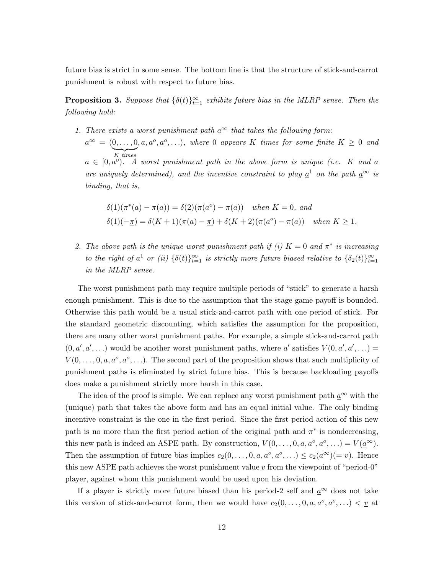future bias is strict in some sense. The bottom line is that the structure of stick-and-carrot punishment is robust with respect to future bias.

**Proposition 3.** Suppose that  $\{\delta(t)\}_{t=1}^{\infty}$  exhibits future bias in the MLRP sense. Then the following hold:

1. There exists a worst punishment path  $\underline{a}^{\infty}$  that takes the following form:

 $\underline{a}^{\infty} = (0, \ldots, 0, a, a^o, a^o, \ldots),$  where 0 appears K times for some finite  $K \geq 0$  and  $K$  times  $a \in [0, a^o)$ . A worst punishment path in the above form is unique (i.e. K and a are uniquely determined), and the incentive constraint to play  $\underline{a}^1$  on the path  $\underline{a}^{\infty}$  is binding, that is,

$$
\delta(1)(\pi^*(a) - \pi(a)) = \delta(2)(\pi(a^o) - \pi(a)) \quad when \ K = 0, \ and
$$
  

$$
\delta(1)(-\underline{\pi}) = \delta(K+1)(\pi(a) - \underline{\pi}) + \delta(K+2)(\pi(a^o) - \pi(a)) \quad when \ K \ge 1.
$$

2. The above path is the unique worst punishment path if (i)  $K = 0$  and  $\pi^*$  is increasing to the right of  $\underline{a}^1$  or (ii)  $\{\delta(t)\}_{t=1}^{\infty}$  is strictly more future biased relative to  $\{\delta_2(t)\}_{t=1}^{\infty}$ in the MLRP sense.

The worst punishment path may require multiple periods of "stick" to generate a harsh enough punishment. This is due to the assumption that the stage game payoff is bounded. Otherwise this path would be a usual stick-and-carrot path with one period of stick. For the standard geometric discounting, which satisfies the assumption for the proposition, there are many other worst punishment paths. For example, a simple stick-and-carrot path  $(0, a', a', \ldots)$  would be another worst punishment paths, where a' satisfies  $V(0, a', a', \ldots)$  $V(0,\ldots,0,a,a^o,a^o,\ldots)$ . The second part of the proposition shows that such multiplicity of punishment paths is eliminated by strict future bias. This is because backloading payoffs does make a punishment strictly more harsh in this case.

The idea of the proof is simple. We can replace any worst punishment path  $\underline{a}^{\infty}$  with the (unique) path that takes the above form and has an equal initial value. The only binding incentive constraint is the one in the first period. Since the first period action of this new path is no more than the first period action of the original path and  $\pi^*$  is nondecreasing, this new path is indeed an ASPE path. By construction,  $V(0,\ldots,0,a,a^o,a^o,\ldots)=V(\underline{a}^{\infty})$ . Then the assumption of future bias implies  $c_2(0,\ldots,0,a,a^o,a^o,\ldots) \leq c_2(\underline{a}^{\infty})(=\underline{v})$ . Hence this new ASPE path achieves the worst punishment value  $\underline{v}$  from the viewpoint of "period-0" player, against whom this punishment would be used upon his deviation.

If a player is strictly more future biased than his period-2 self and  $a^{\infty}$  does not take this version of stick-and-carrot form, then we would have  $c_2(0,\ldots,0,a,a^0,a^0,\ldots) < \underline{v}$  at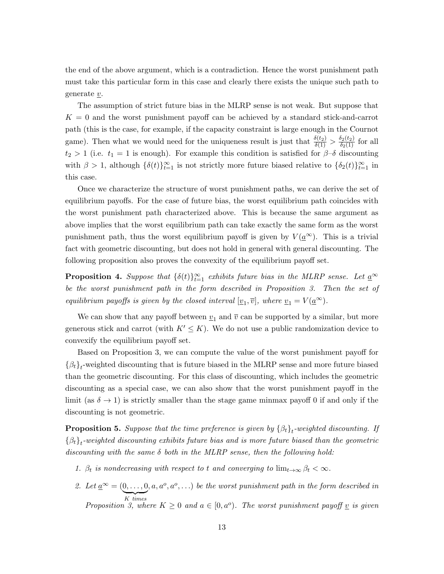the end of the above argument, which is a contradiction. Hence the worst punishment path must take this particular form in this case and clearly there exists the unique such path to generate  $v$ .

The assumption of strict future bias in the MLRP sense is not weak. But suppose that  $K = 0$  and the worst punishment payoff can be achieved by a standard stick-and-carrot path (this is the case, for example, if the capacity constraint is large enough in the Cournot game). Then what we would need for the uniqueness result is just that  $\frac{\delta(t_2)}{\delta(1)} > \frac{\delta_2(t_2)}{\delta_2(1)}$  for all  $t_2 > 1$  (i.e.  $t_1 = 1$  is enough). For example this condition is satisfied for  $\beta-\delta$  discounting with  $\beta > 1$ , although  $\{\delta(t)\}_{t=1}^{\infty}$  is not strictly more future biased relative to  $\{\delta_2(t)\}_{t=1}^{\infty}$  in this case.

Once we characterize the structure of worst punishment paths, we can derive the set of equilibrium payoffs. For the case of future bias, the worst equilibrium path coincides with the worst punishment path characterized above. This is because the same argument as above implies that the worst equilibrium path can take exactly the same form as the worst punishment path, thus the worst equilibrium payoff is given by  $V(a^{\infty})$ . This is a trivial fact with geometric discounting, but does not hold in general with general discounting. The following proposition also proves the convexity of the equilibrium payoff set.

**Proposition 4.** Suppose that  $\{\delta(t)\}_{t=1}^{\infty}$  exhibits future bias in the MLRP sense. Let  $\underline{a}^{\infty}$ be the worst punishment path in the form described in Proposition 3. Then the set of equilibrium payoffs is given by the closed interval  $[\underline{v}_1, \overline{v}]$ , where  $\underline{v}_1 = V(\underline{a}^{\infty})$ .

We can show that any payoff between  $v_1$  and  $\overline{v}$  can be supported by a similar, but more generous stick and carrot (with  $K' \leq K$ ). We do not use a public randomization device to convexify the equilibrium payoff set.

Based on Proposition 3, we can compute the value of the worst punishment payoff for  $\{\beta_t\}_t$ -weighted discounting that is future biased in the MLRP sense and more future biased than the geometric discounting. For this class of discounting, which includes the geometric discounting as a special case, we can also show that the worst punishment payoff in the limit (as  $\delta \rightarrow 1$ ) is strictly smaller than the stage game minmax payoff 0 if and only if the discounting is not geometric.

**Proposition 5.** Suppose that the time preference is given by  $\{\beta_t\}_t$ -weighted discounting. If  $\{\beta_t\}_t$ -weighted discounting exhibits future bias and is more future biased than the geometric discounting with the same  $\delta$  both in the MLRP sense, then the following hold:

- 1.  $\beta_t$  is nondecreasing with respect to t and converging to  $\lim_{t\to\infty} \beta_t < \infty$ .
- 2. Let  $\underline{a}^{\infty} = (0, \ldots, 0)$  $K$  times  $K$  times<br>Proposition 3, where  $K \geq 0$  and  $a \in [0, a^o)$ . The worst punishment payoff  $\underline{v}$  is given  $(a, a^o, a^o, ...)$  be the worst punishment path in the form described in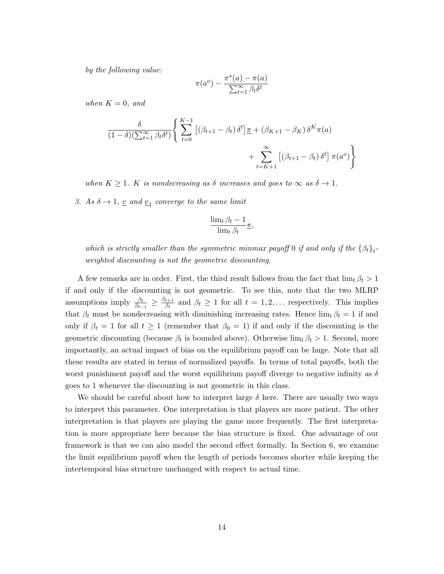by the following value:

$$
\pi(a^o) - \frac{\pi^*(a) - \pi(a)}{\sum_{t=1}^{\infty} \beta_t \delta^t}
$$

when  $K = 0$ , and

$$
\frac{\delta}{(1-\delta)(\sum_{t=1}^{\infty}\beta_t\delta^t)}\left\{\sum_{t=0}^{K-1}\left[\left(\beta_{t+1}-\beta_t\right)\delta^t\right]\underline{\pi}+\left(\beta_{K+1}-\beta_K\right)\delta^K\pi(a) + \sum_{t=K+1}^{\infty}\left[\left(\beta_{t+1}-\beta_t\right)\delta^t\right]\pi(a^o)\right\}
$$

when  $K \geq 1$ . K is nondecreasing as  $\delta$  increases and goes to  $\infty$  as  $\delta \to 1$ .

3. As  $\delta \to 1$ ,  $\underline{v}$  and  $\underline{v}_1$  converge to the same limit

$$
\frac{\lim_{t} \beta_{t} - 1}{\lim_{t} \beta_{t}} \pi,
$$

which is strictly smaller than the symmetric minmax payoff 0 if and only if the  $\{\beta_t\}_t$ weighted discounting is not the geometric discounting.

A few remarks are in order. First, the third result follows from the fact that  $\lim_{t} \beta_t > 1$ if and only if the discounting is not geometric. To see this, note that the two MLRP assumptions imply  $\frac{\beta_t}{\beta_{t-1}} \geq \frac{\beta_{t+1}}{\beta_t}$  $\frac{t+1}{\beta_t}$  and  $\beta_t \geq 1$  for all  $t = 1, 2, \dots$  respectively. This implies that  $\beta_t$  must be nondecreasing with diminishing increasing rates. Hence  $\lim_{t} \beta_t = 1$  if and only if  $\beta_t = 1$  for all  $t \ge 1$  (remember that  $\beta_0 = 1$ ) if and only if the discounting is the geometric discounting (because  $\beta_t$  is bounded above). Otherwise  $\lim_{t} \beta_t > 1$ . Second, more importantly, an actual impact of bias on the equilibrium payoff can be huge. Note that all these results are stated in terms of normalized payoffs. In terms of total payoffs, both the worst punishment payoff and the worst equilibrium payoff diverge to negative infinity as  $\delta$ goes to 1 whenever the discounting is not geometric in this class.

We should be careful about how to interpret large  $\delta$  here. There are usually two ways to interpret this parameter. One interpretation is that players are more patient. The other interpretation is that players are playing the game more frequently. The first interpretation is more appropriate here because the bias structure is fixed. One advantage of our framework is that we can also model the second effect formally. In Section 6, we examine the limit equilibrium payoff when the length of periods becomes shorter while keeping the intertemporal bias structure unchanged with respect to actual time.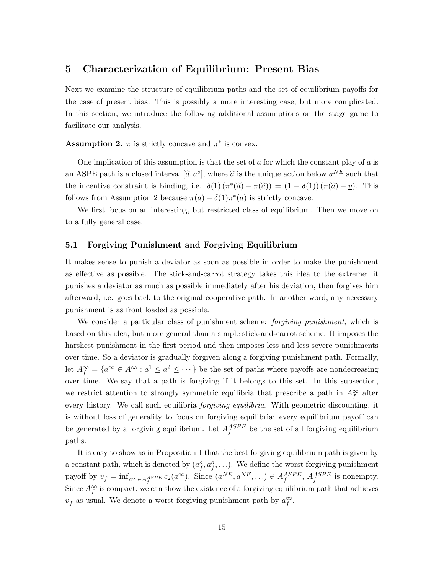# 5 Characterization of Equilibrium: Present Bias

Next we examine the structure of equilibrium paths and the set of equilibrium payoffs for the case of present bias. This is possibly a more interesting case, but more complicated. In this section, we introduce the following additional assumptions on the stage game to facilitate our analysis.

**Assumption 2.**  $\pi$  is strictly concave and  $\pi^*$  is convex.

One implication of this assumption is that the set of  $\alpha$  for which the constant play of  $\alpha$  is an ASPE path is a closed interval  $[\hat{a}, a^o]$ , where  $\hat{a}$  is the unique action below  $a^{NE}$  such that the incentive constraint is binding, i.e.  $\delta(1) (\pi^*(\hat{a}) - \pi(\hat{a})) = (1 - \delta(1)) (\pi(\hat{a}) - \underline{v})$ . This follows from Assumption 2 because  $\pi(a) - \delta(1)\pi^*(a)$  is strictly concave.

We first focus on an interesting, but restricted class of equilibrium. Then we move on to a fully general case.

#### 5.1 Forgiving Punishment and Forgiving Equilibrium

It makes sense to punish a deviator as soon as possible in order to make the punishment as effective as possible. The stick-and-carrot strategy takes this idea to the extreme: it punishes a deviator as much as possible immediately after his deviation, then forgives him afterward, i.e. goes back to the original cooperative path. In another word, any necessary punishment is as front loaded as possible.

We consider a particular class of punishment scheme: *forgiving punishment*, which is based on this idea, but more general than a simple stick-and-carrot scheme. It imposes the harshest punishment in the first period and then imposes less and less severe punishments over time. So a deviator is gradually forgiven along a forgiving punishment path. Formally, let  $A_f^{\infty} = \{a^{\infty} \in A^{\infty} : a^1 \le a^2 \le \cdots \}$  be the set of paths where payoffs are nondecreasing over time. We say that a path is forgiving if it belongs to this set. In this subsection, we restrict attention to strongly symmetric equilibria that prescribe a path in  $A_f^{\infty}$  after every history. We call such equilibria *forgiving equilibria*. With geometric discounting, it is without loss of generality to focus on forgiving equilibria: every equilibrium payoff can be generated by a forgiving equilibrium. Let  $A_f^{ASPE}$  be the set of all forgiving equilibrium paths.

It is easy to show as in Proposition 1 that the best forgiving equilibrium path is given by a constant path, which is denoted by  $(a_f^o, a_f^o, \ldots)$ . We define the worst forgiving punishment payoff by  $\underline{v}_f = \inf_{a^{\infty} \in A_f^{ASPE}} c_2(a^{\infty})$ . Since  $(a^{NE}, a^{NE}, \ldots) \in A_f^{ASPE}$ ,  $A_f^{ASPE}$  is nonempty. Since  $A_f^{\infty}$  is compact, we can show the existence of a forgiving equilibrium path that achieves  $\underline{v}_f$  as usual. We denote a worst forgiving punishment path by  $\underline{a}_f^{\infty}$ .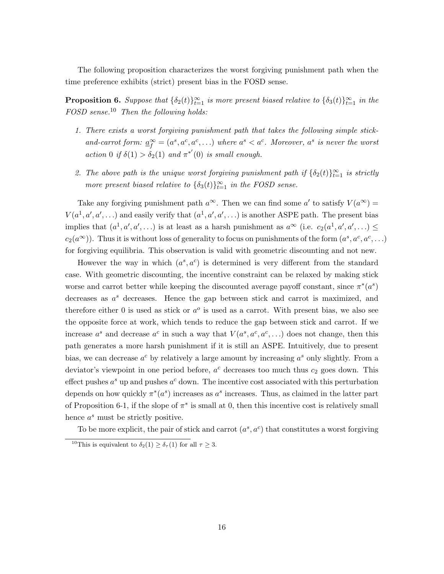The following proposition characterizes the worst forgiving punishment path when the time preference exhibits (strict) present bias in the FOSD sense.

**Proposition 6.** Suppose that  $\{\delta_2(t)\}_{t=1}^{\infty}$  is more present biased relative to  $\{\delta_3(t)\}_{t=1}^{\infty}$  in the FOSD sense.<sup>10</sup> Then the following holds:

- 1. There exists a worst forgiving punishment path that takes the following simple stickand-carrot form:  $\underline{a}_{f}^{\infty} = (a^{s}, a^{c}, a^{c}, ...)$  where  $a^{s} < a^{c}$ . Moreover,  $a^{s}$  is never the worst action 0 if  $\delta(1) > \delta_2(1)$  and  $\pi^{*'}(0)$  is small enough.
- 2. The above path is the unique worst forgiving punishment path if  $\{\delta_2(t)\}_{t=1}^{\infty}$  is strictly more present biased relative to  $\{\delta_3(t)\}_{t=1}^{\infty}$  in the FOSD sense.

Take any forgiving punishment path  $a^{\infty}$ . Then we can find some  $a'$  to satisfy  $V(a^{\infty}) =$  $V(a^1, a', a', \ldots)$  and easily verify that  $(a^1, a', a', \ldots)$  is another ASPE path. The present bias implies that  $(a^1, a', a', \ldots)$  is at least as a harsh punishment as  $a^{\infty}$  (i.e.  $c_2(a^1, a', a', \ldots) \le$  $c_2(a^{\infty})$ ). Thus it is without loss of generality to focus on punishments of the form  $(a^s, a^c, a^c, \ldots)$ for forgiving equilibria. This observation is valid with geometric discounting and not new.

However the way in which  $(a^s, a^c)$  is determined is very different from the standard case. With geometric discounting, the incentive constraint can be relaxed by making stick worse and carrot better while keeping the discounted average payoff constant, since  $\pi^*(a^s)$ decreases as  $a^s$  decreases. Hence the gap between stick and carrot is maximized, and therefore either 0 is used as stick or  $a^o$  is used as a carrot. With present bias, we also see the opposite force at work, which tends to reduce the gap between stick and carrot. If we increase  $a^s$  and decrease  $a^c$  in such a way that  $V(a^s, a^c, a^c, \ldots)$  does not change, then this path generates a more harsh punishment if it is still an ASPE. Intuitively, due to present bias, we can decrease  $a^c$  by relatively a large amount by increasing  $a^s$  only slightly. From a deviator's viewpoint in one period before,  $a^c$  decreases too much thus  $c_2$  goes down. This effect pushes  $a^s$  up and pushes  $a^c$  down. The incentive cost associated with this perturbation depends on how quickly  $\pi^*(a^s)$  increases as  $a^s$  increases. Thus, as claimed in the latter part of Proposition 6-1, if the slope of  $\pi^*$  is small at 0, then this incentive cost is relatively small hence  $a^s$  must be strictly positive.

To be more explicit, the pair of stick and carrot  $(a^s, a^c)$  that constitutes a worst forgiving

<sup>&</sup>lt;sup>10</sup>This is equivalent to  $\delta_2(1) \geq \delta_{\tau}(1)$  for all  $\tau \geq 3$ .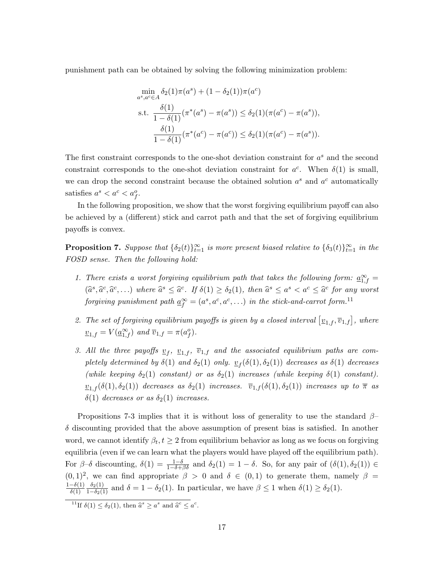punishment path can be obtained by solving the following minimization problem:

$$
\min_{a^s, a^c \in A} \delta_2(1)\pi(a^s) + (1 - \delta_2(1))\pi(a^c)
$$
\ns.t. 
$$
\frac{\delta(1)}{1 - \delta(1)} (\pi^*(a^s) - \pi(a^s)) \le \delta_2(1)(\pi(a^c) - \pi(a^s)),
$$
\n
$$
\frac{\delta(1)}{1 - \delta(1)} (\pi^*(a^c) - \pi(a^c)) \le \delta_2(1)(\pi(a^c) - \pi(a^s)).
$$

The first constraint corresponds to the one-shot deviation constraint for  $a^s$  and the second constraint corresponds to the one-shot deviation constraint for  $a^c$ . When  $\delta(1)$  is small, we can drop the second constraint because the obtained solution  $a^s$  and  $a^c$  automatically satisfies  $a^s < a^c < a_f^o$ .

In the following proposition, we show that the worst forgiving equilibrium payoff can also be achieved by a (different) stick and carrot path and that the set of forgiving equilibrium payoffs is convex.

**Proposition 7.** Suppose that  $\{\delta_2(t)\}_{t=1}^{\infty}$  is more present biased relative to  $\{\delta_3(t)\}_{t=1}^{\infty}$  in the FOSD sense. Then the following hold:

- 1. There exists a worst forgiving equilibrium path that takes the following form:  $\underline{a}_{1,f}^{\infty}$  =  $(\hat{a}^s, \hat{a}^c, \hat{a}^c, \ldots)$  where  $\hat{a}^s \leq \hat{a}^c$ . If  $\delta(1) \geq \delta_2(1)$ , then  $\hat{a}^s \leq a^s < a^c \leq \hat{a}^c$  for any worst forgiving punishment path  $\underline{a}_{f}^{\infty}=(a^{s},a^{c},a^{c},\ldots)$  in the stick-and-carrot form.<sup>11</sup>
- 2. The set of forgiving equilibrium payoffs is given by a closed interval  $[\underline{v}_{1,f}, \overline{v}_{1,f}]$ , where  $\underline{v}_{1,f} = V(\underline{a}_{1,f}^{\infty})$  and  $\overline{v}_{1,f} = \pi(a_f^o)$ .
- 3. All the three payoffs  $\underline{v}_f$ ,  $\underline{v}_{1,f}$ ,  $\overline{v}_{1,f}$  and the associated equilibrium paths are completely determined by  $\delta(1)$  and  $\delta_2(1)$  only.  $\underline{v}_f(\delta(1), \delta_2(1))$  decreases as  $\delta(1)$  decreases (while keeping  $\delta_2(1)$  constant) or as  $\delta_2(1)$  increases (while keeping  $\delta(1)$  constant).  $v_{1,f}(\delta(1), \delta_2(1))$  decreases as  $\delta_2(1)$  increases.  $\overline{v}_{1,f}(\delta(1), \delta_2(1))$  increases up to  $\overline{\pi}$  as  $\delta(1)$  decreases or as  $\delta_2(1)$  increases.

Propositions 7-3 implies that it is without loss of generality to use the standard  $\beta$ –  $\delta$  discounting provided that the above assumption of present bias is satisfied. In another word, we cannot identify  $\beta_t, t \geq 2$  from equilibrium behavior as long as we focus on forgiving equilibria (even if we can learn what the players would have played off the equilibrium path). For  $\beta-\delta$  discounting,  $\delta(1) = \frac{1-\delta}{1-\delta+\beta\delta}$  and  $\delta_2(1) = 1-\delta$ . So, for any pair of  $(\delta(1), \delta_2(1)) \in$  $(0, 1)^2$ , we can find appropriate  $\beta > 0$  and  $\delta \in (0, 1)$  to generate them, namely  $\beta =$  $rac{1-\delta(1)}{\delta(1)}$  $\frac{\delta_2(1)}{1-\delta_2(1)}$  and  $\delta = 1 - \delta_2(1)$ . In particular, we have  $\beta \leq 1$  when  $\delta(1) \geq \delta_2(1)$ .

<sup>&</sup>lt;sup>11</sup>If  $\delta(1) \leq \delta_2(1)$ , then  $\hat{a}^s \geq a^s$  and  $\hat{a}^c \leq a^c$ .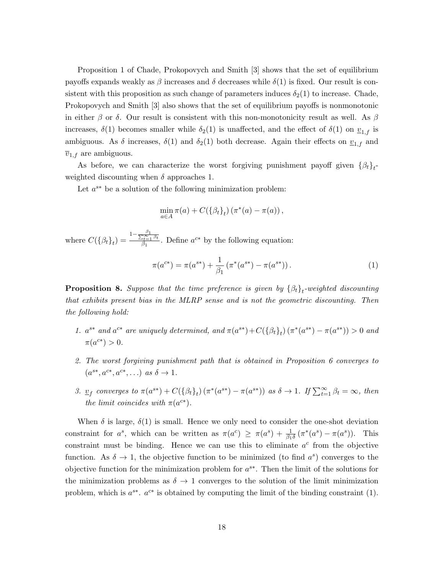Proposition 1 of Chade, Prokopovych and Smith [3] shows that the set of equilibrium payoffs expands weakly as  $\beta$  increases and  $\delta$  decreases while  $\delta(1)$  is fixed. Our result is consistent with this proposition as such change of parameters induces  $\delta_2(1)$  to increase. Chade, Prokopovych and Smith [3] also shows that the set of equilibrium payoffs is nonmonotonic in either  $\beta$  or  $\delta$ . Our result is consistent with this non-monotonicity result as well. As  $\beta$ increases,  $\delta(1)$  becomes smaller while  $\delta_2(1)$  is unaffected, and the effect of  $\delta(1)$  on  $\underline{v}_{1,f}$  is ambiguous. As  $\delta$  increases,  $\delta(1)$  and  $\delta_2(1)$  both decrease. Again their effects on  $\underline{v}_{1,f}$  and  $\overline{v}_{1,f}$  are ambiguous.

As before, we can characterize the worst forgiving punishment payoff given  $\{\beta_t\}_t$ weighted discounting when  $\delta$  approaches 1.

Let  $a^{s*}$  be a solution of the following minimization problem:

$$
\min_{a\in A}\pi(a)+C(\{\beta_t\}_t)(\pi^*(a)-\pi(a)),
$$

where  $C({\beta_t}_t) = \frac{1 - \frac{\beta_1}{\sum_{t=1}^{\infty} \beta_t}}{\beta_1}$  $\frac{dS}{dt}$  Define  $a^{c*}$  by the following equation:

$$
\pi(a^{c*}) = \pi(a^{s*}) + \frac{1}{\beta_1} (\pi^*(a^{s*}) - \pi(a^{s*})).
$$
\n(1)

**Proposition 8.** Suppose that the time preference is given by  $\{\beta_t\}_t$ -weighted discounting that exhibits present bias in the MLRP sense and is not the geometric discounting. Then the following hold:

- 1.  $a^{s*}$  and  $a^{c*}$  are uniquely determined, and  $\pi(a^{s*}) + C({{\beta_t}_t}_t) (\pi^*(a^{s*}) \pi(a^{s*})) > 0$  and  $\pi(a^{c*}) > 0.$
- 2. The worst forgiving punishment path that is obtained in Proposition 6 converges to  $(a^{s*}, a^{c*}, a^{c*}, \ldots)$  as  $\delta \to 1$ .
- 3.  $\underline{v}_f$  converges to  $\pi(a^{s*}) + C(\{\beta_t\}_t) (\pi^*(a^{s*}) \pi(a^{s*}))$  as  $\delta \to 1$ . If  $\sum_{t=1}^{\infty} \beta_t = \infty$ , then the limit coincides with  $\pi(a^{c*})$ .

When  $\delta$  is large,  $\delta(1)$  is small. Hence we only need to consider the one-shot deviation constraint for  $a^s$ , which can be written as  $\pi(a^c) \geq \pi(a^s) + \frac{1}{\beta_1 \delta} (\pi^*(a^s) - \pi(a^s))$ . This constraint must be binding. Hence we can use this to eliminate  $a^c$  from the objective function. As  $\delta \to 1$ , the objective function to be minimized (to find  $a^s$ ) converges to the objective function for the minimization problem for  $a^{s*}$ . Then the limit of the solutions for the minimization problems as  $\delta \to 1$  converges to the solution of the limit minimization problem, which is  $a^{s*}$ .  $a^{c*}$  is obtained by computing the limit of the binding constraint (1).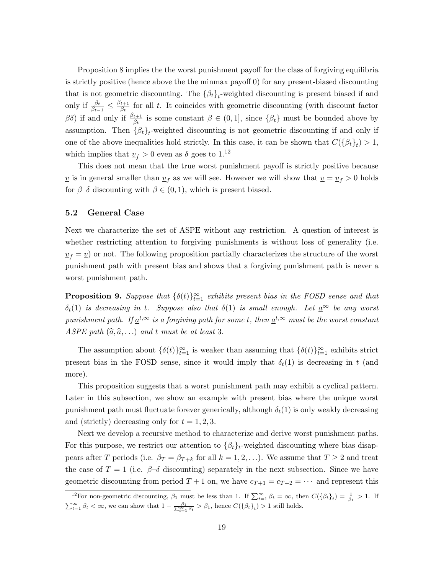Proposition 8 implies the the worst punishment payoff for the class of forgiving equilibria is strictly positive (hence above the the minmax payoff 0) for any present-biased discounting that is not geometric discounting. The  $\{\beta_t\}_t$ -weighted discounting is present biased if and only if  $\frac{\beta_t}{\beta_{t-1}} \leq \frac{\beta_{t+1}}{\beta_t}$  $\frac{t+1}{\beta_t}$  for all t. It coincides with geometric discounting (with discount factor  $\beta\delta$ ) if and only if  $\frac{\beta_{t+1}}{\beta_t}$  is some constant  $\beta \in (0,1]$ , since  $\{\beta_t\}$  must be bounded above by assumption. Then  $\{\beta_t\}_t$ -weighted discounting is not geometric discounting if and only if one of the above inequalities hold strictly. In this case, it can be shown that  $C({\beta_t}_t) > 1$ , which implies that  $\underline{v}_f > 0$  even as  $\delta$  goes to 1.<sup>12</sup>

This does not mean that the true worst punishment payoff is strictly positive because  $\underline{v}$  is in general smaller than  $\underline{v}_f$  as we will see. However we will show that  $\underline{v} = \underline{v}_f > 0$  holds for  $\beta-\delta$  discounting with  $\beta \in (0,1)$ , which is present biased.

#### 5.2 General Case

Next we characterize the set of ASPE without any restriction. A question of interest is whether restricting attention to forgiving punishments is without loss of generality (i.e.  $v_f = v$  or not. The following proposition partially characterizes the structure of the worst punishment path with present bias and shows that a forgiving punishment path is never a worst punishment path.

**Proposition 9.** Suppose that  $\{\delta(t)\}_{t=1}^{\infty}$  exhibits present bias in the FOSD sense and that  $\delta_t(1)$  is decreasing in t. Suppose also that  $\delta(1)$  is small enough. Let  $a^{\infty}$  be any worst punishment path. If  $\underline{a}^{t,\infty}$  is a forgiving path for some t, then  $\underline{a}^{t,\infty}$  must be the worst constant ASPE path  $(\widehat{a}, \widehat{a}, \ldots)$  and t must be at least 3.

The assumption about  $\{\delta(t)\}_{t=1}^{\infty}$  is weaker than assuming that  $\{\delta(t)\}_{t=1}^{\infty}$  exhibits strict present bias in the FOSD sense, since it would imply that  $\delta_t(1)$  is decreasing in t (and more).

This proposition suggests that a worst punishment path may exhibit a cyclical pattern. Later in this subsection, we show an example with present bias where the unique worst punishment path must fluctuate forever generically, although  $\delta_t(1)$  is only weakly decreasing and (strictly) decreasing only for  $t = 1, 2, 3$ .

Next we develop a recursive method to characterize and derive worst punishment paths. For this purpose, we restrict our attention to  $\{\beta_t\}_t$ -weighted discounting where bias disappears after T periods (i.e.  $\beta_T = \beta_{T+k}$  for all  $k = 1, 2, ...$ ). We assume that  $T \geq 2$  and treat the case of  $T = 1$  (i.e.  $\beta-\delta$  discounting) separately in the next subsection. Since we have geometric discounting from period  $T + 1$  on, we have  $c_{T+1} = c_{T+2} = \cdots$  and represent this

<sup>&</sup>lt;sup>12</sup>For non-geometric discounting,  $\beta_1$  must be less than 1. If  $\sum_{t=1}^{\infty} \beta_t = \infty$ , then  $C({\beta_t}_t) = \frac{1}{\beta_1} > 1$ . If  $\sum_{t=1}^{\infty} \beta_t < \infty$ , we can show that  $1 - \frac{\beta_1}{\sum_{t=1}^{\infty} \beta_t} > \beta_1$ , hence  $C(\{\beta_t\}_t) > 1$  still holds.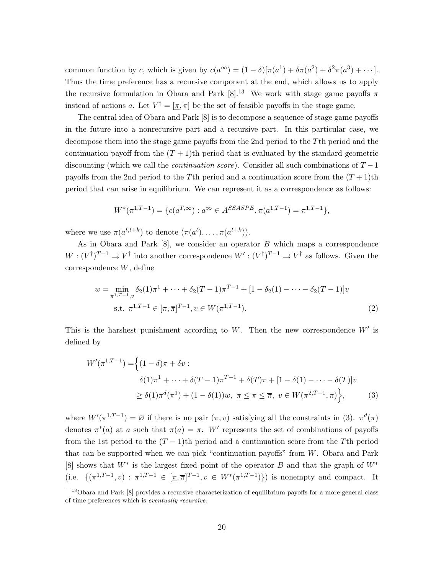common function by c, which is given by  $c(a^{\infty}) = (1 - \delta) [\pi(a^1) + \delta \pi(a^2) + \delta^2 \pi(a^3) + \cdots].$ Thus the time preference has a recursive component at the end, which allows us to apply the recursive formulation in Obara and Park [8].<sup>13</sup> We work with stage game payoffs  $\pi$ instead of actions a. Let  $V^{\dagger} = [\pi, \overline{\pi}]$  be the set of feasible payoffs in the stage game.

The central idea of Obara and Park [8] is to decompose a sequence of stage game payoffs in the future into a nonrecursive part and a recursive part. In this particular case, we decompose them into the stage game payoffs from the 2nd period to the Tth period and the continuation payoff from the  $(T + 1)$ th period that is evaluated by the standard geometric discounting (which we call the *continuation score*). Consider all such combinations of  $T - 1$ payoffs from the 2nd period to the T<sup>th</sup> period and a continuation score from the  $(T+1)$ <sup>th</sup> period that can arise in equilibrium. We can represent it as a correspondence as follows:

$$
W^*(\pi^{1,T-1}) = \{c(a^{T,\infty}) : a^{\infty} \in A^{SSASPE}, \pi(a^{1,T-1}) = \pi^{1,T-1}\},\
$$

where we use  $\pi(a^{t,t+k})$  to denote  $(\pi(a^t), \ldots, \pi(a^{t+k}))$ .

As in Obara and Park  $[8]$ , we consider an operator  $B$  which maps a correspondence  $W: (V^{\dagger})^{T-1} \rightrightarrows V^{\dagger}$  into another correspondence  $W': (V^{\dagger})^{T-1} \rightrightarrows V^{\dagger}$  as follows. Given the correspondence W, define

$$
\underline{w} = \min_{\pi^{1,T-1},v} \delta_2(1)\pi^1 + \dots + \delta_2(T-1)\pi^{T-1} + [1 - \delta_2(1) - \dots - \delta_2(T-1)]v
$$
  
s.t.  $\pi^{1,T-1} \in [\underline{\pi}, \overline{\pi}]^{T-1}, v \in W(\pi^{1,T-1}).$  (2)

This is the harshest punishment according to W. Then the new correspondence  $W'$  is defined by

$$
W'(\pi^{1,T-1}) = \left\{ (1-\delta)\pi + \delta v : \\ \delta(1)\pi^1 + \dots + \delta(T-1)\pi^{T-1} + \delta(T)\pi + [1-\delta(1) - \dots - \delta(T)]v \\ \ge \delta(1)\pi^d(\pi^1) + (1-\delta(1))\underline{w}, \ \underline{\pi} \le \pi \le \overline{\pi}, \ v \in W(\pi^{2,T-1}, \pi) \right\}, \tag{3}
$$

where  $W'(\pi^{1,T-1}) = \emptyset$  if there is no pair  $(\pi, v)$  satisfying all the constraints in (3).  $\pi^d(\pi)$ denotes  $\pi^*(a)$  at a such that  $\pi(a) = \pi$ . W' represents the set of combinations of payoffs from the 1st period to the  $(T - 1)$ th period and a continuation score from the T<sup>th</sup> period that can be supported when we can pick "continuation payoffs" from W. Obara and Park [8] shows that  $W^*$  is the largest fixed point of the operator B and that the graph of  $W^*$ (i.e.  $\{(\pi^{1,T-1},v) : \pi^{1,T-1} \in [\pi,\overline{\pi}]^{T-1}, v \in W^*(\pi^{1,T-1})\}\$ ) is nonempty and compact. It

<sup>13</sup>Obara and Park [8] provides a recursive characterization of equilibrium payoffs for a more general class of time preferences which is eventually recursive.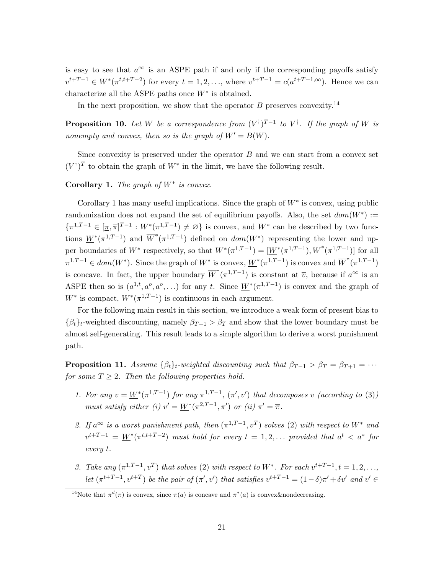is easy to see that  $a^{\infty}$  is an ASPE path if and only if the corresponding payoffs satisfy  $v^{t+T-1} \in W^*(\pi^{t,t+T-2})$  for every  $t = 1, 2, ...,$  where  $v^{t+T-1} = c(a^{t+T-1,\infty})$ . Hence we can characterize all the ASPE paths once  $W^*$  is obtained.

In the next proposition, we show that the operator  $B$  preserves convexity.<sup>14</sup>

**Proposition 10.** Let W be a correspondence from  $(V^{\dagger})^{T-1}$  to  $V^{\dagger}$ . If the graph of W is nonempty and convex, then so is the graph of  $W' = B(W)$ .

Since convexity is preserved under the operator  $B$  and we can start from a convex set  $(V^{\dagger})^T$  to obtain the graph of  $W^*$  in the limit, we have the following result.

Corollary 1. The graph of  $W^*$  is convex.

Corollary 1 has many useful implications. Since the graph of  $W^*$  is convex, using public randomization does not expand the set of equilibrium payoffs. Also, the set  $dom(W^*) :=$  $\{\pi^{1,T-1} \in [\underline{\pi}, \overline{\pi}]^{T-1} : W^*(\pi^{1,T-1}) \neq \emptyset\}$  is convex, and  $W^*$  can be described by two functions  $W^*(\pi^{1,T-1})$  and  $\overline{W}^*(\pi^{1,T-1})$  defined on  $dom(W^*)$  representing the lower and upper boundaries of  $W^*$  respectively, so that  $W^*(\pi^{1,T-1}) = [\underline{W}^*(\pi^{1,T-1}), \overline{W}^*(\pi^{1,T-1})]$  for all  $\pi^{1,T-1} \in dom(W^*)$ . Since the graph of  $W^*$  is convex,  $\underline{W}^*(\pi^{1,T-1})$  is convex and  $\overline{W}^*(\pi^{1,T-1})$ is concave. In fact, the upper boundary  $\overline{W}^*(\pi^{1,T-1})$  is constant at  $\overline{v}$ , because if  $a^{\infty}$  is an ASPE then so is  $(a^{1,t}, a^o, a^o, \ldots)$  for any t. Since  $W^*(\pi^{1,T-1})$  is convex and the graph of  $W^*$  is compact,  $\underline{W}^*(\pi^{1,T-1})$  is continuous in each argument.

For the following main result in this section, we introduce a weak form of present bias to  $\{\beta_t\}_t$ -weighted discounting, namely  $\beta_{T-1} > \beta_T$  and show that the lower boundary must be almost self-generating. This result leads to a simple algorithm to derive a worst punishment path.

**Proposition 11.** Assume  $\{\beta_t\}_t$ -weighted discounting such that  $\beta_{T-1} > \beta_T = \beta_{T+1} = \cdots$ for some  $T \geq 2$ . Then the following properties hold.

- 1. For any  $v = W^*(\pi^{1,T-1})$  for any  $\pi^{1,T-1}$ ,  $(\pi', v')$  that decomposes v (according to (3)) must satisfy either (i)  $v' = \underline{W}^*(\pi^{2,T-1}, \pi')$  or (ii)  $\pi' = \overline{\pi}$ .
- 2. If  $a^{\infty}$  is a worst punishment path, then  $(\pi^{1,T-1}, v^{T})$  solves (2) with respect to  $W^{*}$  and  $v^{t+T-1} = \underline{W}^*(\pi^{t,t+T-2})$  must hold for every  $t = 1, 2, ...$  provided that  $a^t < a^*$  for every t.
- 3. Take any  $(\pi^{1,T-1}, v^T)$  that solves (2) with respect to  $W^*$ . For each  $v^{t+T-1}, t = 1, 2, \ldots$ let  $(\pi^{t+T-1}, v^{t+T})$  be the pair of  $(\pi', v')$  that satisfies  $v^{t+T-1} = (1-\delta)\pi' + \delta v'$  and  $v' \in$

<sup>&</sup>lt;sup>14</sup>Note that  $\pi^d(\pi)$  is convex, since  $\pi(a)$  is concave and  $\pi^*(a)$  is convex&nondecreasing.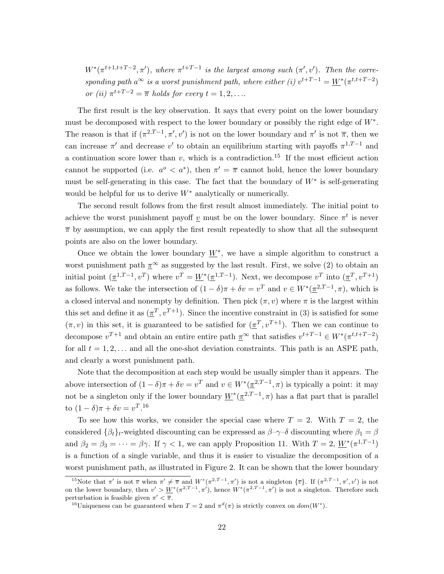$W^*(\pi^{t+1,t+T-2}, \pi')$ , where  $\pi^{t+T-1}$  is the largest among such  $(\pi', v')$ . Then the corresponding path  $a^{\infty}$  is a worst punishment path, where either (i)  $v^{t+T-1} = \underline{W}^*(\pi^{t,t+T-2})$ or (ii)  $\pi^{t+T-2} = \overline{\pi}$  holds for every  $t = 1, 2, \ldots$ 

The first result is the key observation. It says that every point on the lower boundary must be decomposed with respect to the lower boundary or possibly the right edge of W∗ . The reason is that if  $(\pi^{2,T-1}, \pi', v')$  is not on the lower boundary and  $\pi'$  is not  $\overline{\pi}$ , then we can increase  $\pi'$  and decrease  $v'$  to obtain an equilibrium starting with payoffs  $\pi^{1,T-1}$  and a continuation score lower than  $v$ , which is a contradiction.<sup>15</sup> If the most efficient action cannot be supported (i.e.  $a^{\circ} < a^*$ ), then  $\pi' = \overline{\pi}$  cannot hold, hence the lower boundary must be self-generating in this case. The fact that the boundary of  $W^*$  is self-generating would be helpful for us to derive  $W^*$  analytically or numerically.

The second result follows from the first result almost immediately. The initial point to achieve the worst punishment payoff  $\underline{v}$  must be on the lower boundary. Since  $\pi^t$  is never  $\bar{\pi}$  by assumption, we can apply the first result repeatedly to show that all the subsequent points are also on the lower boundary.

Once we obtain the lower boundary  $\underline{W}^*$ , we have a simple algorithm to construct a worst punishment path  $\pi^{\infty}$  as suggested by the last result. First, we solve (2) to obtain an initial point  $(\underline{\pi}^{1,T-1}, v^T)$  where  $v^T = \underline{W}^*(\underline{\pi}^{1,T-1})$ . Next, we decompose  $v^T$  into  $(\underline{\pi}^T, v^{T+1})$ as follows. We take the intersection of  $(1 - \delta)\pi + \delta v = v^T$  and  $v \in W^*(\underline{\pi}^{2,T-1}, \pi)$ , which is a closed interval and nonempty by definition. Then pick  $(\pi, v)$  where  $\pi$  is the largest within this set and define it as  $(\pi^T, v^{T+1})$ . Since the incentive constraint in (3) is satisfied for some  $(\pi, v)$  in this set, it is guaranteed to be satisfied for  $(\pi^T, v^{T+1})$ . Then we can continue to decompose  $v^{T+1}$  and obtain an entire entire path  $\underline{\pi}^{\infty}$  that satisfies  $v^{t+T-1} \in W^*(\pi^{t,t+T-2})$ for all  $t = 1, 2, \ldots$  and all the one-shot deviation constraints. This path is an ASPE path, and clearly a worst punishment path.

Note that the decomposition at each step would be usually simpler than it appears. The above intersection of  $(1 - \delta)\pi + \delta v = v^T$  and  $v \in W^*(\pi^{2,T-1}, \pi)$  is typically a point: it may not be a singleton only if the lower boundary  $\underline{W}^*(\underline{\pi}^{2,T-1}, \pi)$  has a flat part that is parallel to  $(1 - \delta)\pi + \delta v = v^T.$ <sup>16</sup>

To see how this works, we consider the special case where  $T = 2$ . With  $T = 2$ , the considered  $\{\beta_t\}_t$ -weighted discounting can be expressed as  $\beta-\gamma-\delta$  discounting where  $\beta_1 = \beta$ and  $\beta_2 = \beta_3 = \cdots = \beta \gamma$ . If  $\gamma < 1$ , we can apply Proposition 11. With  $T = 2$ ,  $\underline{W}^*(\pi^{1,T-1})$ is a function of a single variable, and thus it is easier to visualize the decomposition of a worst punishment path, as illustrated in Figure 2. It can be shown that the lower boundary

<sup>&</sup>lt;sup>15</sup>Note that  $\pi'$  is not  $\overline{v}$  when  $\pi' \neq \overline{\pi}$  and  $W^*(\pi^{2,T-1}, \pi')$  is not a singleton  $\{\overline{v}\}\$ . If  $(\pi^{2,T-1}, \pi', v')$  is not on the lower boundary, then  $v' > W^*(\pi^{2,T-1}, \pi')$ , hence  $W^*(\pi^{2,T-1}, \pi')$  is not a singleton. Therefore such perturbation is feasible given  $\pi' < \overline{\pi}$ .

<sup>&</sup>lt;sup>16</sup>Uniqueness can be guaranteed when  $T = 2$  and  $\pi^d(\pi)$  is strictly convex on  $dom(W^*)$ .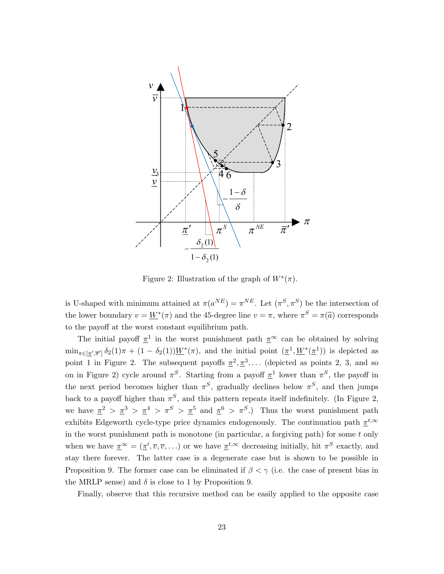

Figure 2: Illustration of the graph of  $W^*(\pi)$ .

is U-shaped with minimum attained at  $\pi(a^{NE}) = \pi^{NE}$ . Let  $(\pi^S, \pi^S)$  be the intersection of the lower boundary  $v = W^*(\pi)$  and the 45-degree line  $v = \pi$ , where  $\pi^S = \pi(\widehat{a})$  corresponds to the payoff at the worst constant equilibrium path.

The initial payoff  $\pi^1$  in the worst punishment path  $\pi^{\infty}$  can be obtained by solving  $\min_{\pi \in [\underline{\pi}', \overline{\pi}']} \delta_2(1)\pi + (1 - \delta_2(1))\underline{W}^*(\pi)$ , and the initial point  $(\underline{\pi}^1, \underline{W}^*(\underline{\pi}^1))$  is depicted as point 1 in Figure 2. The subsequent payoffs  $\pi^2, \pi^3, \ldots$  (depicted as points 2, 3, and so on in Figure 2) cycle around  $\pi^S$ . Starting from a payoff  $\underline{\pi}^1$  lower than  $\pi^S$ , the payoff in the next period becomes higher than  $\pi^S$ , gradually declines below  $\pi^S$ , and then jumps back to a payoff higher than  $\pi^S$ , and this pattern repeats itself indefinitely. (In Figure 2, we have  $\pi^2 > \pi^3 > \pi^4 > \pi^5 > \pi^5$  and  $\pi^6 > \pi^5$ .) Thus the worst punishment path exhibits Edgeworth cycle-type price dynamics endogenously. The continuation path  $\pi^{t,\infty}$ in the worst punishment path is monotone (in particular, a forgiving path) for some  $t$  only when we have  $\underline{\pi}^{\infty} = (\underline{\pi}', \overline{v}, \overline{v}, \ldots)$  or we have  $\underline{\pi}^{t,\infty}$  decreasing initially, hit  $\pi^{S}$  exactly, and stay there forever. The latter case is a degenerate case but is shown to be possible in Proposition 9. The former case can be eliminated if  $\beta < \gamma$  (i.e. the case of present bias in the MRLP sense) and  $\delta$  is close to 1 by Proposition 9.

Finally, observe that this recursive method can be easily applied to the opposite case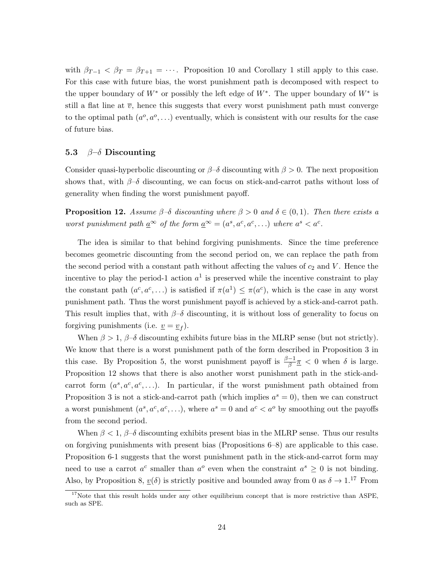with  $\beta_{T-1} < \beta_T = \beta_{T+1} = \cdots$ . Proposition 10 and Corollary 1 still apply to this case. For this case with future bias, the worst punishment path is decomposed with respect to the upper boundary of  $W^*$  or possibly the left edge of  $W^*$ . The upper boundary of  $W^*$  is still a flat line at  $\bar{v}$ , hence this suggests that every worst punishment path must converge to the optimal path  $(a^{\circ}, a^{\circ}, \ldots)$  eventually, which is consistent with our results for the case of future bias.

#### 5.3  $\beta-\delta$  Discounting

Consider quasi-hyperbolic discounting or  $\beta-\delta$  discounting with  $\beta > 0$ . The next proposition shows that, with  $\beta-\delta$  discounting, we can focus on stick-and-carrot paths without loss of generality when finding the worst punishment payoff.

**Proposition 12.** Assume  $\beta-\delta$  discounting where  $\beta>0$  and  $\delta\in(0,1)$ . Then there exists a worst punishment path  $\underline{a}^{\infty}$  of the form  $\underline{a}^{\infty} = (a^s, a^c, a^c, ...)$  where  $a^s < a^c$ .

The idea is similar to that behind forgiving punishments. Since the time preference becomes geometric discounting from the second period on, we can replace the path from the second period with a constant path without affecting the values of  $c_2$  and V. Hence the incentive to play the period-1 action  $a^1$  is preserved while the incentive constraint to play the constant path  $(a^c, a^c, \ldots)$  is satisfied if  $\pi(a^1) \leq \pi(a^c)$ , which is the case in any worst punishment path. Thus the worst punishment payoff is achieved by a stick-and-carrot path. This result implies that, with  $\beta-\delta$  discounting, it is without loss of generality to focus on forgiving punishments (i.e.  $\underline{v} = \underline{v}_f$ ).

When  $\beta > 1$ ,  $\beta-\delta$  discounting exhibits future bias in the MLRP sense (but not strictly). We know that there is a worst punishment path of the form described in Proposition 3 in this case. By Proposition 5, the worst punishment payoff is  $\frac{\beta-1}{\beta} \frac{\pi}{\beta} < 0$  when  $\delta$  is large. Proposition 12 shows that there is also another worst punishment path in the stick-andcarrot form  $(a^s, a^c, a^c, \ldots)$ . In particular, if the worst punishment path obtained from Proposition 3 is not a stick-and-carrot path (which implies  $a^s = 0$ ), then we can construct a worst punishment  $(a^s, a^c, a^c, \ldots)$ , where  $a^s = 0$  and  $a^c < a^o$  by smoothing out the payoffs from the second period.

When  $\beta < 1$ ,  $\beta-\delta$  discounting exhibits present bias in the MLRP sense. Thus our results on forgiving punishments with present bias (Propositions 6–8) are applicable to this case. Proposition 6-1 suggests that the worst punishment path in the stick-and-carrot form may need to use a carrot  $a^c$  smaller than  $a^o$  even when the constraint  $a^s \geq 0$  is not binding. Also, by Proposition 8,  $v(\delta)$  is strictly positive and bounded away from 0 as  $\delta \to 1.17$  From

 $17$ Note that this result holds under any other equilibrium concept that is more restrictive than ASPE, such as SPE.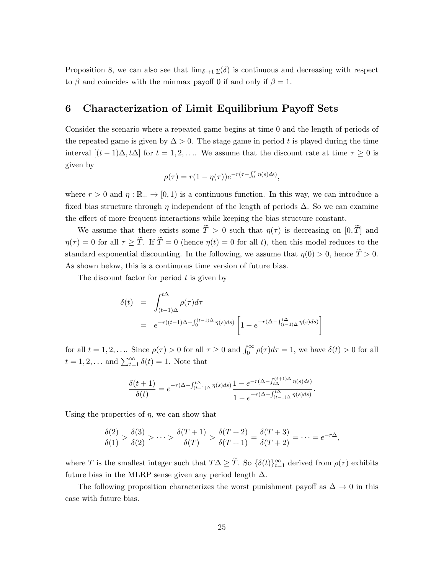Proposition 8, we can also see that  $\lim_{\delta \to 1} \underline{v}(\delta)$  is continuous and decreasing with respect to  $\beta$  and coincides with the minmax payoff 0 if and only if  $\beta = 1$ .

### 6 Characterization of Limit Equilibrium Payoff Sets

Consider the scenario where a repeated game begins at time 0 and the length of periods of the repeated game is given by  $\Delta > 0$ . The stage game in period t is played during the time interval  $[(t-1)\Delta, t\Delta]$  for  $t = 1, 2, \ldots$  We assume that the discount rate at time  $\tau \geq 0$  is given by

$$
\rho(\tau) = r(1 - \eta(\tau))e^{-r(\tau - \int_0^{\tau} \eta(s)ds)},
$$

where  $r > 0$  and  $\eta : \mathbb{R}_+ \to [0, 1)$  is a continuous function. In this way, we can introduce a fixed bias structure through  $\eta$  independent of the length of periods  $\Delta$ . So we can examine the effect of more frequent interactions while keeping the bias structure constant.

We assume that there exists some  $\tilde{T} > 0$  such that  $\eta(\tau)$  is decreasing on  $[0, \tilde{T}]$  and  $\eta(\tau) = 0$  for all  $\tau \geq \tilde{T}$ . If  $\tilde{T} = 0$  (hence  $\eta(t) = 0$  for all t), then this model reduces to the standard exponential discounting. In the following, we assume that  $\eta(0) > 0$ , hence  $\widetilde{T} > 0$ . As shown below, this is a continuous time version of future bias.

The discount factor for period  $t$  is given by

$$
\delta(t) = \int_{(t-1)\Delta}^{t\Delta} \rho(\tau) d\tau
$$
  
=  $e^{-r((t-1)\Delta - \int_0^{(t-1)\Delta} \eta(s) ds)} \left[1 - e^{-r(\Delta - \int_{(t-1)\Delta}^{t\Delta} \eta(s) ds)}\right]$ 

for all  $t = 1, 2, ...$  Since  $\rho(\tau) > 0$  for all  $\tau \geq 0$  and  $\int_0^\infty \rho(\tau) d\tau = 1$ , we have  $\delta(t) > 0$  for all  $t = 1, 2, \dots$  and  $\sum_{t=1}^{\infty} \delta(t) = 1$ . Note that

$$
\frac{\delta(t+1)}{\delta(t)} = e^{-r(\Delta - \int_{(t-1)\Delta}^{t\Delta} \eta(s)ds)} \frac{1 - e^{-r(\Delta - \int_{t\Delta}^{(t+1)\Delta} \eta(s)ds)}}{1 - e^{-r(\Delta - \int_{(t-1)\Delta}^{t\Delta} \eta(s)ds)}}.
$$

Using the properties of  $\eta$ , we can show that

$$
\frac{\delta(2)}{\delta(1)} > \frac{\delta(3)}{\delta(2)} > \dots > \frac{\delta(T+1)}{\delta(T)} > \frac{\delta(T+2)}{\delta(T+1)} = \frac{\delta(T+3)}{\delta(T+2)} = \dots = e^{-r\Delta},
$$

where T is the smallest integer such that  $T\Delta \geq T$ . So  $\{\delta(t)\}_{t=1}^{\infty}$  derived from  $\rho(\tau)$  exhibits future bias in the MLRP sense given any period length  $\Delta$ .

The following proposition characterizes the worst punishment payoff as  $\Delta \to 0$  in this case with future bias.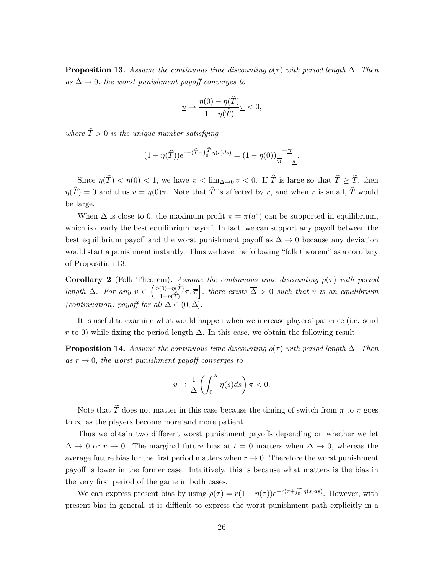**Proposition 13.** Assume the continuous time discounting  $\rho(\tau)$  with period length  $\Delta$ . Then as  $\Delta \rightarrow 0$ , the worst punishment payoff converges to

$$
\underline{v} \to \frac{\eta(0) - \eta(\widehat{T})}{1 - \eta(\widehat{T})} \underline{\pi} < 0,
$$

where  $\widehat{T} > 0$  is the unique number satisfying

$$
(1 - \eta(\widehat{T}))e^{-r(\widehat{T} - \int_0^{\widehat{T}} \eta(s)ds)} = (1 - \eta(0))\frac{-\underline{\pi}}{\overline{\pi} - \underline{\pi}}.
$$

Since  $\eta(\widehat{T}) < \eta(0) < 1$ , we have  $\pi < \lim_{\Delta \to 0} \underline{v} < 0$ . If  $\widehat{T}$  is large so that  $\widehat{T} \geq \widetilde{T}$ , then  $\eta(\widehat{T}) = 0$  and thus  $v = \eta(0)\pi$ . Note that  $\widehat{T}$  is affected by r, and when r is small,  $\widehat{T}$  would be large.

When  $\Delta$  is close to 0, the maximum profit  $\bar{\pi} = \pi(a^*)$  can be supported in equilibrium, which is clearly the best equilibrium payoff. In fact, we can support any payoff between the best equilibrium payoff and the worst punishment payoff as  $\Delta \to 0$  because any deviation would start a punishment instantly. Thus we have the following "folk theorem" as a corollary of Proposition 13.

**Corollary 2** (Folk Theorem). Assume the continuous time discounting  $\rho(\tau)$  with period length  $\Delta$ . For any  $v \in \left(\frac{\eta(0)-\eta(\widehat{T})}{1-\eta(\widehat{T})}\right)$  $\frac{(0)-\eta(\widehat{T})}{1-\eta(\widehat{T})}\pi,\overline{\pi}\bigg],$  there exists  $\overline{\Delta}>0$  such that v is an equilibrium (continuation) payoff for all  $\Delta \in (0, \overline{\Delta})$ .

It is useful to examine what would happen when we increase players' patience (i.e. send r to 0) while fixing the period length  $\Delta$ . In this case, we obtain the following result.

**Proposition 14.** Assume the continuous time discounting  $\rho(\tau)$  with period length  $\Delta$ . Then as  $r \to 0$ , the worst punishment payoff converges to

$$
\underline{v} \to \frac{1}{\Delta} \left( \int_0^{\Delta} \eta(s) ds \right) \underline{\pi} < 0.
$$

Note that  $\widetilde{T}$  does not matter in this case because the timing of switch from  $\pi$  to  $\overline{\pi}$  goes to  $\infty$  as the players become more and more patient.

Thus we obtain two different worst punishment payoffs depending on whether we let  $\Delta \to 0$  or  $r \to 0$ . The marginal future bias at  $t = 0$  matters when  $\Delta \to 0$ , whereas the average future bias for the first period matters when  $r \to 0$ . Therefore the worst punishment payoff is lower in the former case. Intuitively, this is because what matters is the bias in the very first period of the game in both cases.

We can express present bias by using  $\rho(\tau) = r(1 + \eta(\tau))e^{-r(\tau + \int_0^{\tau} \eta(s)ds)}$ . However, with present bias in general, it is difficult to express the worst punishment path explicitly in a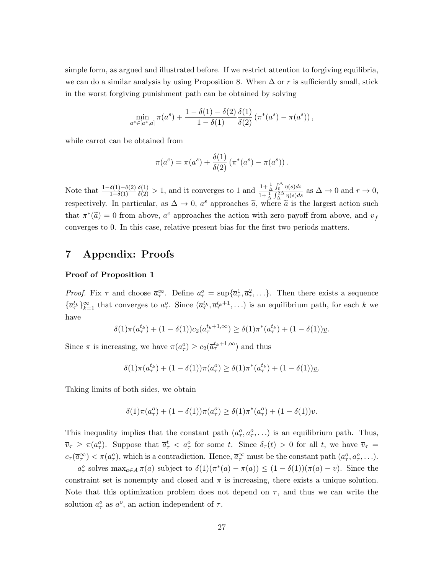simple form, as argued and illustrated before. If we restrict attention to forgiving equilibria, we can do a similar analysis by using Proposition 8. When  $\Delta$  or r is sufficiently small, stick in the worst forgiving punishment path can be obtained by solving

$$
\min_{a^s \in [a^*, \overline{a}]} \pi(a^s) + \frac{1 - \delta(1) - \delta(2)}{1 - \delta(1)} \frac{\delta(1)}{\delta(2)} (\pi^*(a^s) - \pi(a^s)),
$$

while carrot can be obtained from

$$
\pi(a^c) = \pi(a^s) + \frac{\delta(1)}{\delta(2)} (\pi^*(a^s) - \pi(a^s)).
$$

Note that  $\frac{1-\delta(1)-\delta(2)}{1-\delta(1)}$  $\frac{\delta(1)}{\delta(2)} > 1$ , and it converges to 1 and  $\frac{1+\frac{1}{\Delta}\int_{0}^{\Delta}\eta(s)ds}{1+\frac{1}{\Delta}\int_{0}^{2\Delta}\eta(s)ds}$  $\frac{1+\Delta}{1+\Delta}\int_{\Delta}^{10} \eta(s)ds$  as  $\Delta \to 0$  and  $r \to 0$ , respectively. In particular, as  $\Delta \to 0$ ,  $a^s$  approaches  $\tilde{a}$ , where  $\tilde{a}$  is the largest action such that  $\pi^*(\tilde{a}) = 0$  from above,  $a^c$  approaches the action with zero payoff from above, and  $\underline{v}_f$ converges to 0. In this case, relative present bias for the first two periods matters.

# 7 Appendix: Proofs

#### Proof of Proposition 1

*Proof.* Fix  $\tau$  and choose  $\bar{a}^{\infty}_{\tau}$ . Define  $a^o_{\tau} = \sup{\{\bar{a}^1_{\tau}, \bar{a}^2_{\tau}, \ldots\}}$ . Then there exists a sequence  ${\{\overline{a}_{\tau}^{t_k}\}}_{k=1}^{\infty}$  that converges to  $a_{\tau}^o$ . Since  $(\overline{a}_{\tau}^{t_k}, \overline{a}_{\tau}^{t_k+1}, \ldots)$  is an equilibrium path, for each k we have

$$
\delta(1)\pi(\overline{a}_{\tau}^{t_k}) + (1 - \delta(1))c_2(\overline{a}_{\tau}^{t_k+1,\infty}) \ge \delta(1)\pi^*(\overline{a}_{\tau}^{t_k}) + (1 - \delta(1))\underline{v}.
$$

Since  $\pi$  is increasing, we have  $\pi(a_{\tau}^o) \geq c_2(\overline{a}_{\tau}^{t_k+1,\infty})$  and thus

$$
\delta(1)\pi(\overline{a}_{\tau}^{t_k}) + (1 - \delta(1))\pi(a_{\tau}^o) \ge \delta(1)\pi^*(\overline{a}_{\tau}^{t_k}) + (1 - \delta(1))\underline{v}.
$$

Taking limits of both sides, we obtain

$$
\delta(1)\pi(a_{\tau}^o) + (1 - \delta(1))\pi(a_{\tau}^o) \ge \delta(1)\pi^*(a_{\tau}^o) + (1 - \delta(1))\underline{v}.
$$

This inequality implies that the constant path  $(a_{\tau}^o, a_{\tau}^o, \ldots)$  is an equilibrium path. Thus,  $\overline{v}_{\tau} \geq \pi(a_{\tau}^o)$ . Suppose that  $\overline{a}_{\tau}^t < a_{\tau}^o$  for some t. Since  $\delta_{\tau}(t) > 0$  for all t, we have  $\overline{v}_{\tau} =$  $c_{\tau}(\overline{a}_{\tau}^{\infty}) < \pi(a_{\tau}^o)$ , which is a contradiction. Hence,  $\overline{a}_{\tau}^{\infty}$  must be the constant path  $(a_{\tau}^o, a_{\tau}^o, \ldots)$ .

 $a_{\tau}^o$  solves  $\max_{a \in A} \pi(a)$  subject to  $\delta(1)(\pi^*(a) - \pi(a)) \leq (1 - \delta(1))(\pi(a) - \underline{v})$ . Since the constraint set is nonempty and closed and  $\pi$  is increasing, there exists a unique solution. Note that this optimization problem does not depend on  $\tau$ , and thus we can write the solution  $a^o_\tau$  as  $a^o$ , an action independent of  $\tau$ .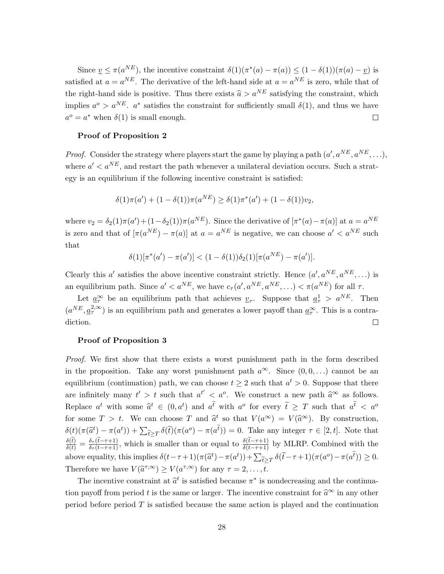Since  $\underline{v} \leq \pi(a^{NE})$ , the incentive constraint  $\delta(1)(\pi^*(a) - \pi(a)) \leq (1 - \delta(1))(\pi(a) - \underline{v})$  is satisfied at  $a = a^{NE}$ . The derivative of the left-hand side at  $a = a^{NE}$  is zero, while that of the right-hand side is positive. Thus there exists  $\hat{a} > a^{NE}$  satisfying the constraint, which implies  $a^{\circ} > a^{NE}$ .  $a^*$  satisfies the constraint for sufficiently small  $\delta(1)$ , and thus we have  $a^o = a^*$  when  $\delta(1)$  is small enough.  $\Box$ 

#### Proof of Proposition 2

*Proof.* Consider the strategy where players start the game by playing a path  $(a', a^{NE}, a^{NE}, \ldots)$ , where  $a' < a^{NE}$ , and restart the path whenever a unilateral deviation occurs. Such a strategy is an equilibrium if the following incentive constraint is satisfied:

$$
\delta(1)\pi(a') + (1 - \delta(1))\pi(a^{NE}) \ge \delta(1)\pi^*(a') + (1 - \delta(1))v_2,
$$

where  $v_2 = \delta_2(1)\pi(a') + (1-\delta_2(1))\pi(a^{NE})$ . Since the derivative of  $[\pi^*(a) - \pi(a)]$  at  $a = a^{NE}$ is zero and that of  $[\pi(a^{NE}) - \pi(a)]$  at  $a = a^{NE}$  is negative, we can choose  $a' < a^{NE}$  such that

$$
\delta(1)[\pi^*(a') - \pi(a')] < (1 - \delta(1))\delta_2(1)[\pi(a^{NE}) - \pi(a')].
$$

Clearly this a' satisfies the above incentive constraint strictly. Hence  $(a', a^{NE}, a^{NE}, ...)$  is an equilibrium path. Since  $a' < a^{NE}$ , we have  $c_{\tau}(a', a^{NE}, a^{NE}, \ldots) < \pi(a^{NE})$  for all  $\tau$ .

Let  $\underline{a}_{\tau}^{\infty}$  be an equilibrium path that achieves  $\underline{v}_{\tau}$ . Suppose that  $\underline{a}_{\tau}^{1} > a^{NE}$ . Then  $(a^{NE}, \underline{a}_{\tau}^{2,\infty})$  is an equilibrium path and generates a lower payoff than  $\underline{a}_{\tau}^{\infty}$ . This is a contradiction.  $\Box$ 

#### Proof of Proposition 3

Proof. We first show that there exists a worst punishment path in the form described in the proposition. Take any worst punishment path  $a^{\infty}$ . Since  $(0, 0, ...)$  cannot be an equilibrium (continuation) path, we can choose  $t \geq 2$  such that  $a^t > 0$ . Suppose that there are infinitely many  $t' > t$  such that  $a^{t'} < a^o$ . We construct a new path  $\hat{a}^{\infty}$  as follows. Replace  $a^t$  with some  $\hat{a}^t \in (0, a^t)$  and  $a^t$  with  $a^o$  for every  $\tilde{t} \geq T$  such that  $a^t < a^o$ for some  $T > t$ . We can choose T and  $\hat{a}^t$  so that  $V(a^{\infty}) = V(\hat{a}^{\infty})$ . By construction,  $\delta(t)(\pi(\hat{a}^t) - \pi(a^t)) + \sum_{\tilde{t} \geq T} \delta(\tilde{t})(\pi(a^o) - \pi(a^t)) = 0$ . Take any integer  $\tau \in [2, t]$ . Note that  $t \geq T$  $\frac{\delta(t)}{\delta(t)} = \frac{\delta_{\tau}(t-\tau+1)}{\delta_{\tau}(t-\tau+1)}$ , which is smaller than or equal to  $\frac{\delta(t-\tau+1)}{\delta(t-\tau+1)}$  by MLRP. Combined with the above equality, this implies  $\delta(t-\tau+1)(\pi(\hat{a}^t) - \pi(a^t)) + \sum_{\tilde{t} \geq T} \delta(\tilde{t}-\tau+1)(\pi(a^o) - \pi(a^t)) \geq 0$ . Therefore we have  $V(\hat{a}^{\tau,\infty}) \ge V(a^{\tau,\infty})$  for any  $\tau = 2, \ldots, t$ .

The incentive constraint at  $\hat{a}^t$  is satisfied because  $\pi^*$  is nondecreasing and the continuation payoff from period t is the same or larger. The incentive constraint for  $\hat{a}^{\infty}$  in any other period before period  $T$  is satisfied because the same action is played and the continuation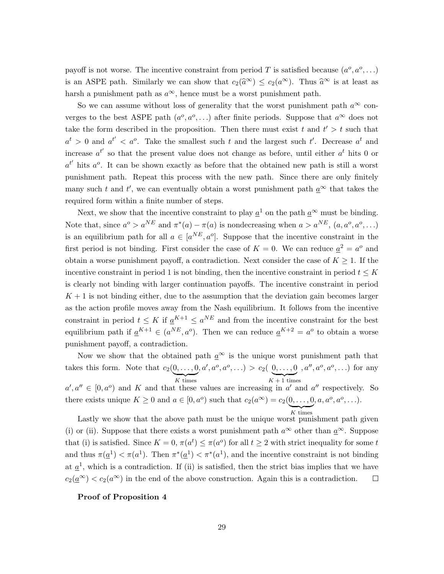payoff is not worse. The incentive constraint from period T is satisfied because  $(a^o, a^o, \ldots)$ is an ASPE path. Similarly we can show that  $c_2(\hat{\alpha}^{\infty}) \leq c_2(a^{\infty})$ . Thus  $\hat{\alpha}^{\infty}$  is at least as harsh a punishment path as  $a^{\infty}$ , hence must be a worst punishment path.

So we can assume without loss of generality that the worst punishment path  $a^{\infty}$  converges to the best ASPE path  $(a^o, a^o, \ldots)$  after finite periods. Suppose that  $a^{\infty}$  does not take the form described in the proposition. Then there must exist t and  $t' > t$  such that  $a^t > 0$  and  $a^{t'} < a^o$ . Take the smallest such t and the largest such t'. Decrease  $a^t$  and increase  $a^{t'}$  so that the present value does not change as before, until either  $a^t$  hits 0 or  $a^{t'}$  hits  $a^o$ . It can be shown exactly as before that the obtained new path is still a worst punishment path. Repeat this process with the new path. Since there are only finitely many such t and t', we can eventually obtain a worst punishment path  $\underline{a}^{\infty}$  that takes the required form within a finite number of steps.

Next, we show that the incentive constraint to play  $\underline{a}^1$  on the path  $\underline{a}^{\infty}$  must be binding. Note that, since  $a^o > a^{NE}$  and  $\pi^*(a) - \pi(a)$  is nondecreasing when  $a > a^{NE}$ ,  $(a, a^o, a^o, ...)$ is an equilibrium path for all  $a \in [a^{NE}, a^o]$ . Suppose that the incentive constraint in the first period is not binding. First consider the case of  $K = 0$ . We can reduce  $\underline{a}^2 = a^o$  and obtain a worse punishment payoff, a contradiction. Next consider the case of  $K \geq 1$ . If the incentive constraint in period 1 is not binding, then the incentive constraint in period  $t \leq K$ is clearly not binding with larger continuation payoffs. The incentive constraint in period  $K + 1$  is not binding either, due to the assumption that the deviation gain becomes larger as the action profile moves away from the Nash equilibrium. It follows from the incentive constraint in period  $t \leq K$  if  $\underline{a}^{K+1} \leq a^{NE}$  and from the incentive constraint for the best equilibrium path if  $\underline{a}^{K+1} \in (a^{NE}, a^o)$ . Then we can reduce  $\underline{a}^{K+2} = a^o$  to obtain a worse punishment payoff, a contradiction.

Now we show that the obtained path  $\underline{a}^{\infty}$  is the unique worst punishment path that takes this form. Note that  $c_2(0, \ldots, 0)$  $K$  times  $, a', a^o, a^o, \ldots) > c_2([0, \ldots, 0])$  $K + 1$  times  $, a'', a^o, a^o, \ldots)$  for any  $a', a'' \in [0, a^o)$  and K and that these values are increasing in a' and a'' respectively. So there exists unique  $K \geq 0$  and  $a \in [0, a^o)$  such that  $c_2(a^{\infty}) = c_2(0, \ldots, 0, a, a^o, a^o, \ldots)$ .

Lastly we show that the above path must be the unique worst punishment path given (i) or (ii). Suppose that there exists a worst punishment path  $a^{\infty}$  other than  $a^{\infty}$ . Suppose that (i) is satisfied. Since  $K = 0$ ,  $\pi(a^t) \leq \pi(a^0)$  for all  $t \geq 2$  with strict inequality for some t and thus  $\pi(\underline{a}^1) < \pi(a^1)$ . Then  $\pi^*(\underline{a}^1) < \pi^*(a^1)$ , and the incentive constraint is not binding at  $\underline{a}^1$ , which is a contradiction. If (ii) is satisfied, then the strict bias implies that we have  $c_2(a^{\infty}) < c_2(a^{\infty})$  in the end of the above construction. Again this is a contradiction.  $\Box$ 

#### Proof of Proposition 4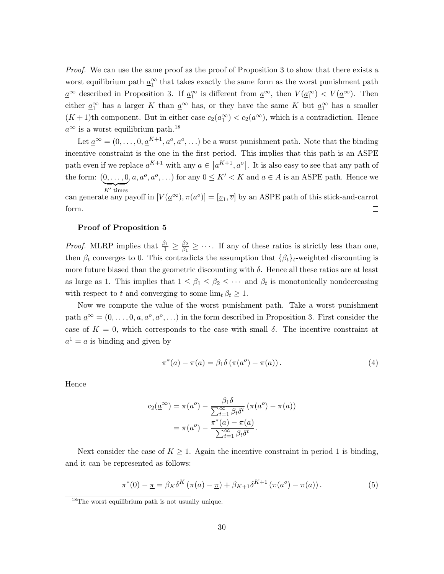Proof. We can use the same proof as the proof of Proposition 3 to show that there exists a worst equilibrium path  $\underline{a}_1^{\infty}$  that takes exactly the same form as the worst punishment path  $\underline{a}^{\infty}$  described in Proposition 3. If  $\underline{a}_1^{\infty}$  is different from  $\underline{a}^{\infty}$ , then  $V(\underline{a}_1^{\infty}) < V(\underline{a}^{\infty})$ . Then either  $\underline{a}_1^{\infty}$  has a larger K than  $\underline{a}^{\infty}$  has, or they have the same K but  $\underline{a}_1^{\infty}$  has a smaller  $(K+1)$ th component. But in either case  $c_2(\underline{a}_1^{\infty}) < c_2(\underline{a}^{\infty})$ , which is a contradiction. Hence  $a^{\infty}$  is a worst equilibrium path.<sup>18</sup>

Let  $\underline{a}^{\infty} = (0, \ldots, 0, \underline{a}^{K+1}, a^o, a^o, \ldots)$  be a worst punishment path. Note that the binding incentive constraint is the one in the first period. This implies that this path is an ASPE path even if we replace  $\underline{a}^{K+1}$  with any  $a \in \left[\underline{a}^{K+1}, a^o\right]$ . It is also easy to see that any path of the form:  $(0, \ldots, 0, a, a^o, a^o, \ldots)$  for any  $0 \leq K' < K$  and  $a \in A$  is an ASPE path. Hence we  $K'$  times

can generate any payoff in  $[V(\underline{a}^{\infty}), \pi(a^o)] = [\underline{v}_1, \overline{v}]$  by an ASPE path of this stick-and-carrot form.  $\Box$ 

#### Proof of Proposition 5

*Proof.* MLRP implies that  $\frac{\beta_1}{1} \geq \frac{\beta_2}{\beta_1}$  $\frac{\beta_2}{\beta_1} \geq \cdots$ . If any of these ratios is strictly less than one, then  $\beta_t$  converges to 0. This contradicts the assumption that  $\{\beta_t\}_t$ -weighted discounting is more future biased than the geometric discounting with  $\delta$ . Hence all these ratios are at least as large as 1. This implies that  $1 \leq \beta_1 \leq \beta_2 \leq \cdots$  and  $\beta_t$  is monotonically nondecreasing with respect to t and converging to some  $\lim_{t} \beta_t \geq 1$ .

Now we compute the value of the worst punishment path. Take a worst punishment path  $\underline{a}^{\infty} = (0, \ldots, 0, a, a^o, a^o, \ldots)$  in the form described in Proposition 3. First consider the case of  $K = 0$ , which corresponds to the case with small  $\delta$ . The incentive constraint at  $\underline{a}^1 = a$  is binding and given by

$$
\pi^*(a) - \pi(a) = \beta_1 \delta \left( \pi(a^0) - \pi(a) \right). \tag{4}
$$

Hence

$$
c_2(\underline{a}^{\infty}) = \pi(a^o) - \frac{\beta_1 \delta}{\sum_{t=1}^{\infty} \beta_t \delta^t} (\pi(a^o) - \pi(a))
$$

$$
= \pi(a^o) - \frac{\pi^*(a) - \pi(a)}{\sum_{t=1}^{\infty} \beta_t \delta^t}.
$$

Next consider the case of  $K \geq 1$ . Again the incentive constraint in period 1 is binding, and it can be represented as follows:

$$
\pi^*(0) - \underline{\pi} = \beta_K \delta^K \left( \pi(a) - \underline{\pi} \right) + \beta_{K+1} \delta^{K+1} \left( \pi(a^0) - \pi(a) \right). \tag{5}
$$

<sup>&</sup>lt;sup>18</sup>The worst equilibrium path is not usually unique.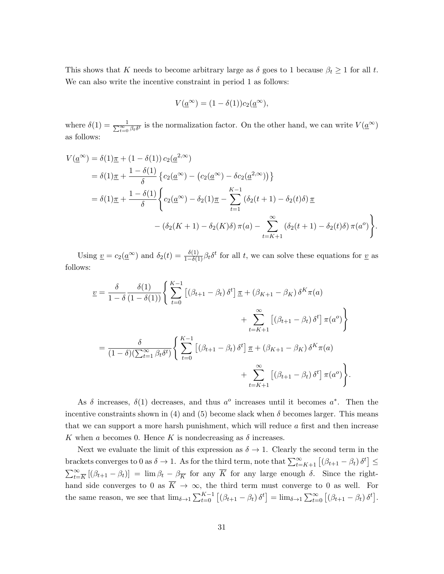This shows that K needs to become arbitrary large as  $\delta$  goes to 1 because  $\beta_t \geq 1$  for all t. We can also write the incentive constraint in period 1 as follows:

$$
V(\underline{a}^{\infty}) = (1 - \delta(1))c_2(\underline{a}^{\infty}),
$$

where  $\delta(1) = \frac{1}{\sum_{t=0}^{\infty} \beta_t \delta^t}$  is the normalization factor. On the other hand, we can write  $V(\underline{a}^{\infty})$ as follows:

$$
V(\underline{a}^{\infty}) = \delta(1)\underline{\pi} + (1 - \delta(1)) c_2(\underline{a}^{2,\infty})
$$
  
=  $\delta(1)\underline{\pi} + \frac{1 - \delta(1)}{\delta} \{c_2(\underline{a}^{\infty}) - (c_2(\underline{a}^{\infty}) - \delta c_2(\underline{a}^{2,\infty}))\}$   
=  $\delta(1)\underline{\pi} + \frac{1 - \delta(1)}{\delta} \left\{c_2(\underline{a}^{\infty}) - \delta_2(1)\underline{\pi} - \sum_{t=1}^{K-1} (\delta_2(t+1) - \delta_2(t)\delta) \underline{\pi} - (\delta_2(K+1) - \delta_2(K)\delta) \pi(a) - \sum_{t=K+1}^{\infty} (\delta_2(t+1) - \delta_2(t)\delta) \pi(a^o) \right\}.$ 

Using  $\underline{v} = c_2(\underline{a}^{\infty})$  and  $\delta_2(t) = \frac{\delta(1)}{1-\delta(1)} \beta_t \delta^t$  for all t, we can solve these equations for  $\underline{v}$  as follows:

$$
\underline{v} = \frac{\delta}{1 - \delta} \frac{\delta(1)}{(1 - \delta(1))} \Bigg\{ \sum_{t=0}^{K-1} \left[ (\beta_{t+1} - \beta_t) \delta^t \right] \underline{\pi} + (\beta_{K+1} - \beta_K) \delta^K \pi(a) + \sum_{t=K+1}^{\infty} \left[ (\beta_{t+1} - \beta_t) \delta^t \right] \pi(a^o) \Bigg\} \n= \frac{\delta}{(1 - \delta)(\sum_{t=1}^{\infty} \beta_t \delta^t)} \Bigg\{ \sum_{t=0}^{K-1} \left[ (\beta_{t+1} - \beta_t) \delta^t \right] \underline{\pi} + (\beta_{K+1} - \beta_K) \delta^K \pi(a) + \sum_{t=K+1}^{\infty} \left[ (\beta_{t+1} - \beta_t) \delta^t \right] \pi(a^o) \Bigg\}.
$$

As  $\delta$  increases,  $\delta(1)$  decreases, and thus  $a^{\circ}$  increases until it becomes  $a^*$ . Then the incentive constraints shown in (4) and (5) become slack when  $\delta$  becomes larger. This means that we can support a more harsh punishment, which will reduce a first and then increase K when a becomes 0. Hence K is nondecreasing as  $\delta$  increases.

Next we evaluate the limit of this expression as  $\delta \to 1$ . Clearly the second term in the brackets converges to 0 as  $\delta \to 1$ . As for the third term, note that  $\sum_{t=K+1}^{\infty} \left[ (\beta_{t+1} - \beta_t) \delta^t \right] \le$  $\sum_{t=\overline{K}}^{\infty} [(\beta_{t+1} - \beta_t)] = \lim \beta_t - \beta_{\overline{K}}$  for any  $\overline{K}$  for any large enough  $\delta$ . Since the righthand side converges to 0 as  $\overline{K} \to \infty$ , the third term must converge to 0 as well. For the same reason, we see that  $\lim_{\delta \to 1} \sum_{t=0}^{K-1} [(\beta_{t+1} - \beta_t) \delta^t] = \lim_{\delta \to 1} \sum_{t=0}^{\infty} [(\beta_{t+1} - \beta_t) \delta^t]$ .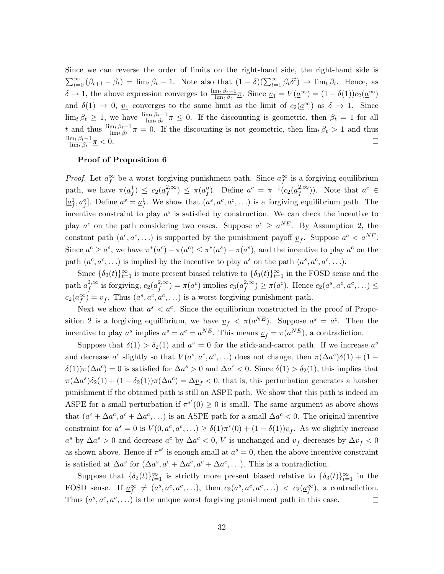Since we can reverse the order of limits on the right-hand side, the right-hand side is  $\sum_{t=0}^{\infty} (\beta_{t+1} - \beta_t) = \lim_{t} \beta_t - 1$ . Note also that  $(1 - \delta)(\sum_{t=1}^{\infty} \beta_t \delta^t) \to \lim_{t} \beta_t$ . Hence, as  $\delta \to 1$ , the above expression converges to  $\frac{\lim_{t} \beta_t - 1}{\lim_{t} \beta_t} \pi$ . Since  $v_1 = V(\underline{a}^{\infty}) = (1 - \delta(1))c_2(\underline{a}^{\infty})$ and  $\delta(1) \to 0$ ,  $\underline{v}_1$  converges to the same limit as the limit of  $c_2(\underline{a}^{\infty})$  as  $\delta \to 1$ . Since  $\lim_{t \to t} \beta_t \geq 1$ , we have  $\frac{\lim_{t} \beta_t - 1}{\lim_{t} \beta_t} \leq 0$ . If the discounting is geometric, then  $\beta_t = 1$  for all t and thus  $\frac{\lim_t \beta_t - 1}{\lim_t \beta_t} \pi = 0$ . If the discounting is not geometric, then  $\lim_t \beta_t > 1$  and thus  $\frac{\lim_{t} \beta_{t}-1}{\lim_{t} \beta_{t}} \frac{\pi}{2} < 0.$  $\Box$ 

#### Proof of Proposition 6

*Proof.* Let  $\underline{a}_{f}^{\infty}$  be a worst forgiving punishment path. Since  $\underline{a}_{f}^{\infty}$  is a forgiving equilibrium path, we have  $\pi(\underline{a}_f^1) \leq c_2(\underline{a}_f^2) \leq \pi(a_f^o)$ . Define  $a^c = \pi^{-1}(c_2(\underline{a}_f^2) \infty)$ . Note that  $a^c \in$  $[\underline{a}_f^1, a_f^o]$ . Define  $a^s = \underline{a}_f^1$ . We show that  $(a^s, a^c, a^c, \ldots)$  is a forgiving equilibrium path. The incentive constraint to play  $a^s$  is satisfied by construction. We can check the incentive to play  $a^c$  on the path considering two cases. Suppose  $a^c \ge a^{NE}$ . By Assumption 2, the constant path  $(a^c, a^c, \ldots)$  is supported by the punishment payoff  $\underline{v}_f$ . Suppose  $a^c < a^{NE}$ . Since  $a^c \ge a^s$ , we have  $\pi^*(a^c) - \pi(a^c) \le \pi^*(a^s) - \pi(a^s)$ , and the incentive to play  $a^c$  on the path  $(a^c, a^c, \ldots)$  is implied by the incentive to play  $a^s$  on the path  $(a^s, a^c, a^c, \ldots)$ .

Since  $\{\delta_2(t)\}_{t=1}^{\infty}$  is more present biased relative to  $\{\delta_3(t)\}_{t=1}^{\infty}$  in the FOSD sense and the path  $\underline{a}_f^{2,\infty}$  is forgiving,  $c_2(\underline{a}_f^{2,\infty}) = \pi(a^c)$  implies  $c_3(\underline{a}_f^{2,\infty}) \geq \pi(a^c)$ . Hence  $c_2(a^s, a^c, a^c, \dots) \leq$  $c_2(\underline{a}_f^{\infty}) = \underline{v}_f$ . Thus  $(a^s, a^c, a^c, ...)$  is a worst forgiving punishment path.

Next we show that  $a^s < a^c$ . Since the equilibrium constructed in the proof of Proposition 2 is a forgiving equilibrium, we have  $\underline{v}_f < \pi(a^{NE})$ . Suppose  $a^s = a^c$ . Then the incentive to play  $a^s$  implies  $a^s = a^c = a^{NE}$ . This means  $\underline{v}_f = \pi(a^{NE})$ , a contradiction.

Suppose that  $\delta(1) > \delta_2(1)$  and  $a^s = 0$  for the stick-and-carrot path. If we increase  $a^s$ and decrease  $a^c$  slightly so that  $V(a^s, a^c, a^c, ...)$  does not change, then  $\pi(\Delta a^s)\delta(1) + (1 \delta(1)\pi(\Delta a^c) = 0$  is satisfied for  $\Delta a^s > 0$  and  $\Delta a^c < 0$ . Since  $\delta(1) > \delta_2(1)$ , this implies that  $\pi(\Delta a^s)\delta_2(1) + (1 - \delta_2(1))\pi(\Delta a^c) = \Delta \underline{v}_f < 0$ , that is, this perturbation generates a harsher punishment if the obtained path is still an ASPE path. We show that this path is indeed an ASPE for a small perturbation if  $\pi^{*'}(0) \geq 0$  is small. The same argument as above shows that  $(a^c + \Delta a^c, a^c + \Delta a^c, ...)$  is an ASPE path for a small  $\Delta a^c < 0$ . The original incentive constraint for  $a^s = 0$  is  $V(0, a^c, a^c, ...) \geq \delta(1)\pi^*(0) + (1 - \delta(1))\underline{v}_f$ . As we slightly increase  $a^s$  by  $\Delta a^s > 0$  and decrease  $a^c$  by  $\Delta a^c < 0$ , V is unchanged and  $\underline{v}_f$  decreases by  $\Delta \underline{v}_f < 0$ as shown above. Hence if  $\pi^{*'}$  is enough small at  $a^s = 0$ , then the above incentive constraint is satisfied at  $\Delta a^s$  for  $(\Delta a^s, a^c + \Delta a^c, a^c + \Delta a^c, ...)$ . This is a contradiction.

Suppose that  $\{\delta_2(t)\}_{t=1}^{\infty}$  is strictly more present biased relative to  $\{\delta_3(t)\}_{t=1}^{\infty}$  in the FOSD sense. If  $\underline{a}_{f}^{\infty} \neq (a^s, a^c, a^c, \ldots)$ , then  $c_2(a^s, a^c, a^c, \ldots) < c_2(a_{f}^{\infty})$ , a contradiction. Thus  $(a^s, a^c, a^c, \ldots)$  is the unique worst forgiving punishment path in this case.  $\Box$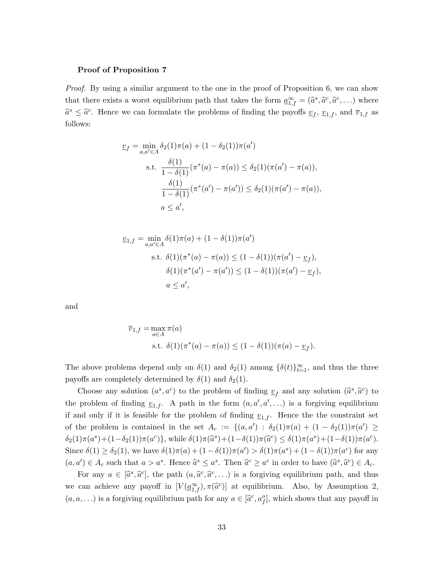#### Proof of Proposition 7

Proof. By using a similar argument to the one in the proof of Proposition 6, we can show that there exists a worst equilibrium path that takes the form  $\underline{a}_{1,f}^{\infty} = (\widehat{a}^s, \widehat{a}^c, \widehat{a}^c, \ldots)$  where  $\hat{a}^s \leq \hat{a}^c$ . Hence we can formulate the problems of finding the payoffs  $\underline{v}_f$ ,  $\underline{v}_{1,f}$ , and  $\overline{v}_{1,f}$  as follows:

$$
\underline{v}_f = \min_{a,a' \in A} \delta_2(1)\pi(a) + (1 - \delta_2(1))\pi(a')
$$
  
s.t. 
$$
\frac{\delta(1)}{1 - \delta(1)} (\pi^*(a) - \pi(a)) \le \delta_2(1)(\pi(a') - \pi(a)),
$$

$$
\frac{\delta(1)}{1 - \delta(1)} (\pi^*(a') - \pi(a')) \le \delta_2(1)(\pi(a') - \pi(a)),
$$

$$
a \le a',
$$

$$
\underline{v}_{1,f} = \min_{a,a' \in A} \delta(1)\pi(a) + (1 - \delta(1))\pi(a')
$$
  
s.t.  $\delta(1)(\pi^*(a) - \pi(a)) \le (1 - \delta(1))(\pi(a') - \underline{v}_f),$   
 $\delta(1)(\pi^*(a') - \pi(a')) \le (1 - \delta(1))(\pi(a') - \underline{v}_f),$   
 $a \le a',$ 

and

$$
\overline{v}_{1,f} = \max_{a \in A} \pi(a)
$$
  
s.t.  $\delta(1)(\pi^*(a) - \pi(a)) \le (1 - \delta(1))(\pi(a) - \underline{v}_f).$ 

The above problems depend only on  $\delta(1)$  and  $\delta_2(1)$  among  $\{\delta(t)\}_{t=1}^{\infty}$ , and thus the three payoffs are completely determined by  $\delta(1)$  and  $\delta_2(1)$ .

Choose any solution  $(a^s, a^c)$  to the problem of finding  $\underline{v}_f$  and any solution  $(\widehat{a}^s, \widehat{a}^c)$  to the problem of finding  $\underline{v}_{1,f}$ . A path in the form  $(a, a', a', \dots)$  is a forgiving equilibrium if and only if it is feasible for the problem of finding  $v_{1,f}$ . Hence the the constraint set of the problem is contained in the set  $A_c := \{(a,a') : \delta_2(1)\pi(a) + (1-\delta_2(1))\pi(a') \geq$  $\delta_2(1)\pi(a^s) + (1-\delta_2(1))\pi(a^c)$ }, while  $\delta(1)\pi(\widehat{a}^s) + (1-\delta(1))\pi(\widehat{a}^c) \leq \delta(1)\pi(a^s) + (1-\delta(1))\pi(a^c)$ . Since  $\delta(1) \geq \delta_2(1)$ , we have  $\delta(1)\pi(a) + (1 - \delta(1))\pi(a') > \delta(1)\pi(a^s) + (1 - \delta(1))\pi(a^c)$  for any  $(a, a') \in A_c$  such that  $a > a^s$ . Hence  $\hat{a}^s \le a^s$ . Then  $\hat{a}^c \ge a^c$  in order to have  $(\hat{a}^s, \hat{a}^c) \in A_c$ .

For any  $a \in [\hat{a}^s, \hat{a}^c]$ , the path  $(a, \hat{a}^c, \hat{a}^c, \ldots)$  is a forgiving equilibrium path, and thus we can achieve any payoff in  $[V(\underline{a}_{1,f}^{\infty}), \pi(\widehat{a}^c)]$  at equilibrium. Also, by Assumption 2,  $(a, a, \ldots)$  is a forgiving equilibrium path for any  $a \in [\hat{a}^c, a_f^o]$ , which shows that any payoff in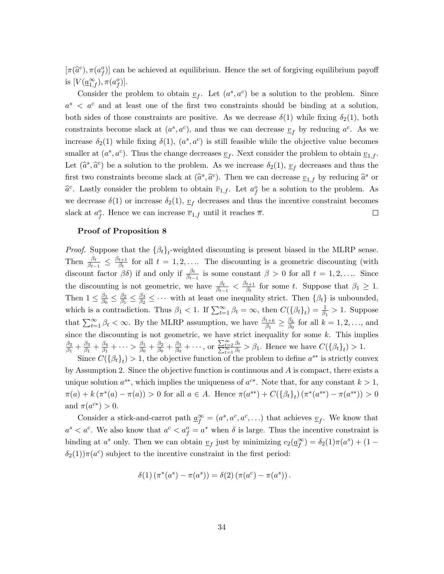$[\pi(\hat{a}^c), \pi(a^o_j)]$  can be achieved at equilibrium. Hence the set of forgiving equilibrium payoff is  $[V(\underline{a}_{1,f}^{\infty}), \pi(a_f^o)].$ 

Consider the problem to obtain  $\underline{v}_f$ . Let  $(a^s, a^c)$  be a solution to the problem. Since  $a^s$  <  $a^c$  and at least one of the first two constraints should be binding at a solution, both sides of those constraints are positive. As we decrease  $\delta(1)$  while fixing  $\delta_2(1)$ , both constraints become slack at  $(a^s, a^c)$ , and thus we can decrease  $\underline{v}_f$  by reducing  $a^c$ . As we increase  $\delta_2(1)$  while fixing  $\delta(1)$ ,  $(a^s, a^c)$  is still feasible while the objective value becomes smaller at  $(a^s, a^c)$ . Thus the change decreases  $\underline{v}_f$ . Next consider the problem to obtain  $\underline{v}_{1,f}$ . Let  $(\hat{a}^s, \hat{a}^c)$  be a solution to the problem. As we increase  $\delta_2(1)$ ,  $\underline{v}_f$  decreases and thus the first two constraints become slack at  $(\hat{a}^s, \hat{a}^c)$ . Then we can decrease  $\underline{v}_{1,f}$  by reducing  $\hat{a}^s$  or  $\hat{a}^c$ . Lastly consider the problem to obtain  $\overline{v}_{1,f}$ . Let  $a_f^o$  be a solution to the problem. As we decrease  $\delta(1)$  or increase  $\delta_2(1)$ ,  $v_f$  decreases and thus the incentive constraint becomes slack at  $a_f^o$ . Hence we can increase  $\overline{v}_{1,f}$  until it reaches  $\overline{\pi}$ .  $\Box$ 

#### Proof of Proposition 8

*Proof.* Suppose that the  $\{\beta_t\}_t$ -weighted discounting is present biased in the MLRP sense. Then  $\frac{\beta_t}{\beta_{t-1}} \leq \frac{\beta_{t+1}}{\beta_t}$  $\frac{t+1}{\beta_t}$  for all  $t = 1, 2, \ldots$  The discounting is a geometric discounting (with discount factor  $\beta\delta$ ) if and only if  $\frac{\beta_t}{\beta_{t-1}}$  is some constant  $\beta > 0$  for all  $t = 1, 2, \ldots$  Since the discounting is not geometric, we have  $\frac{\beta_t}{\beta_{t-1}} < \frac{\beta_{t+1}}{\beta_t}$  $\frac{t+1}{\beta_t}$  for some t. Suppose that  $\beta_1 \geq 1$ . Then  $1 \leq \frac{\beta_1}{\beta_0}$  $\frac{\beta_1}{\beta_0} \leq \frac{\beta_2}{\beta_1}$  $\frac{\beta_2}{\beta_1} \leq \frac{\beta_3}{\beta_2}$  $\frac{\beta_3}{\beta_2} \leq \cdots$  with at least one inequality strict. Then  $\{\beta_t\}$  is unbounded, which is a contradiction. Thus  $\beta_1 < 1$ . If  $\sum_{t=1}^{\infty} \beta_t = \infty$ , then  $C(\{\beta_t\}_t) = \frac{1}{\beta_1} > 1$ . Suppose that  $\sum_{t=1}^{\infty} \beta_t < \infty$ . By the MLRP assumption, we have  $\frac{\beta_{1+k}}{\beta_1} \geq \frac{\beta_k}{\beta_0}$  $\frac{\beta_k}{\beta_0}$  for all  $k = 1, 2, \ldots$ , and since the discounting is not geometric, we have strict inequality for some  $k$ . This implies  $\beta_2$  $\frac{\beta_2}{\beta_1}+\frac{\beta_3}{\beta_1}$  $\frac{\beta_3}{\beta_1}+\frac{\beta_4}{\beta_1}$  $\frac{\beta_4}{\beta_1}+\cdots>\frac{\beta_1}{\beta_0}$  $\frac{\beta_1}{\beta_0}+\frac{\beta_2}{\beta_0}$  $\frac{\beta_2}{\beta_0}+\frac{\beta_3}{\beta_0}$  $\frac{\beta_3}{\beta_0}+\cdots$ , or  $\frac{\sum_{t=2}^{\infty}\beta_t}{\sum_{t=1}^{\infty}\beta_t} > \beta_1$ . Hence we have  $C(\{\beta_t\}_t) > 1$ .

Since  $C({\beta_t}_t) > 1$ , the objective function of the problem to define  $a^{s*}$  is strictly convex by Assumption 2. Since the objective function is continuous and  $\vec{A}$  is compact, there exists a unique solution  $a^{s*}$ , which implies the uniqueness of  $a^{c*}$ . Note that, for any constant  $k > 1$ ,  $\pi(a) + k(\pi^*(a) - \pi(a)) > 0$  for all  $a \in A$ . Hence  $\pi(a^{s*}) + C({\{\beta_t\}_t})(\pi^*(a^{s*}) - \pi(a^{s*})) > 0$ and  $\pi(a^{c*}) > 0$ .

Consider a stick-and-carrot path  $\underline{a}_{f}^{\infty} = (a^s, a^c, a^c, \ldots)$  that achieves  $\underline{v}_{f}$ . We know that  $a^s < a^c$ . We also know that  $a^c < a_f^o = a^*$  when  $\delta$  is large. Thus the incentive constraint is binding at  $a^s$  only. Then we can obtain  $\underline{v}_f$  just by minimizing  $c_2(\underline{a}_f^\infty) = \delta_2(1)\pi(a^s) + (1 \delta_2(1)\pi(a^c)$  subject to the incentive constraint in the first period:

$$
\delta(1) (\pi^*(a^s) - \pi(a^s)) = \delta(2) (\pi(a^c) - \pi(a^s)).
$$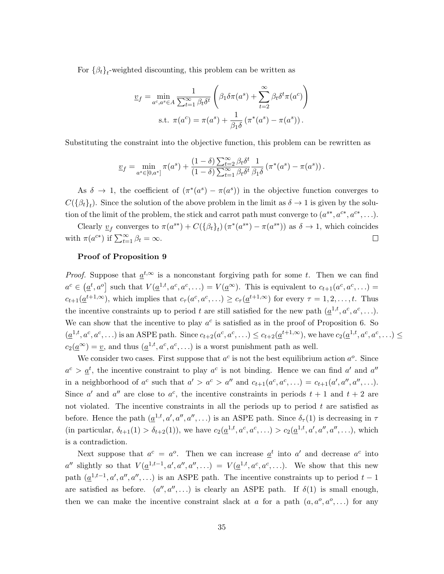For  $\{\beta_t\}_t$ -weighted discounting, this problem can be written as

$$
\underline{v}_f = \min_{a^c, a^s \in A} \frac{1}{\sum_{t=1}^{\infty} \beta_t \delta^t} \left( \beta_1 \delta \pi(a^s) + \sum_{t=2}^{\infty} \beta_t \delta^t \pi(a^c) \right)
$$
  
s.t.  $\pi(a^c) = \pi(a^s) + \frac{1}{\beta_1 \delta} (\pi^*(a^s) - \pi(a^s)).$ 

Substituting the constraint into the objective function, this problem can be rewritten as

$$
\underline{v}_f = \min_{a^s \in [0,a^*]} \pi(a^s) + \frac{(1-\delta)\sum_{t=2}^{\infty} \beta_t \delta^t}{(1-\delta)\sum_{t=1}^{\infty} \beta_t \delta^t} \frac{1}{\beta_1 \delta} \left(\pi^*(a^s) - \pi(a^s)\right).
$$

As  $\delta \to 1$ , the coefficient of  $(\pi^*(a^s) - \pi(a^s))$  in the objective function converges to  $C(\{\beta_t\}_t)$ . Since the solution of the above problem in the limit as  $\delta \to 1$  is given by the solution of the limit of the problem, the stick and carrot path must converge to  $(a^{s*}, a^{c*}, a^{c*}, \ldots)$ .

Clearly  $\underline{v}_f$  converges to  $\pi(a^{s*}) + C({\{\beta_t\}_t})(\pi^*(a^{s*}) - \pi(a^{s*}))$  as  $\delta \to 1$ , which coincides with  $\pi(a^{c*})$  if  $\sum_{t=1}^{\infty} \beta_t = \infty$ .  $\Box$ 

#### Proof of Proposition 9

*Proof.* Suppose that  $a^{t,\infty}$  is a nonconstant forgiving path for some t. Then we can find  $a^c \in (\underline{a}^t, a^o]$  such that  $V(\underline{a}^{1,t}, a^c, a^c, \ldots) = V(\underline{a}^{\infty})$ . This is equivalent to  $c_{t+1}(a^c, a^c, \ldots)$  $c_{t+1}(\underline{a}^{t+1,\infty})$ , which implies that  $c_{\tau}(a^c, a^c, \ldots) \geq c_{\tau}(\underline{a}^{t+1,\infty})$  for every  $\tau = 1, 2, \ldots, t$ . Thus the incentive constraints up to period t are still satisfied for the new path  $(\underline{a}^{1,t}, a^c, a^c, \ldots)$ . We can show that the incentive to play  $a^c$  is satisfied as in the proof of Proposition 6. So  $(\underline{a}^{1,t}, a^c, a^c, \ldots)$  is an ASPE path. Since  $c_{t+2}(a^c, a^c, \ldots) \leq c_{t+2}(\underline{a}^{t+1,\infty})$ , we have  $c_2(\underline{a}^{1,t}, a^c, a^c, \ldots) \leq c_t$  $c_2(\underline{a}^{\infty}) = \underline{v}$ , and thus  $(\underline{a}^{1,t}, a^c, a^c, \ldots)$  is a worst punishment path as well.

We consider two cases. First suppose that  $a^c$  is not the best equilibrium action  $a^o$ . Since  $a^c > \underline{a}^t$ , the incentive constraint to play  $a^c$  is not binding. Hence we can find  $a'$  and  $a''$ in a neighborhood of  $a^c$  such that  $a' > a^c > a''$  and  $c_{t+1}(a^c, a^c, \ldots) = c_{t+1}(a', a'', a'', \ldots)$ . Since a' and a'' are close to  $a^c$ , the incentive constraints in periods  $t + 1$  and  $t + 2$  are not violated. The incentive constraints in all the periods up to period  $t$  are satisfied as before. Hence the path  $(\underline{a}^{1,t}, a', a'', a'', \ldots)$  is an ASPE path. Since  $\delta_{\tau}(1)$  is decreasing in  $\tau$ (in particular,  $\delta_{t+1}(1) > \delta_{t+2}(1)$ ), we have  $c_2(\underline{a}^{1,t}, a^c, a^c, ...) > c_2(\underline{a}^{1,t}, a', a'', a''', ...)$ , which is a contradiction.

Next suppose that  $a^c = a^o$ . Then we can increase  $\underline{a}^t$  into  $a'$  and decrease  $a^c$  into a'' slightly so that  $V(\underline{a}^{1,t-1},a',a'',a'',\ldots) = V(\underline{a}^{1,t},a^c,a^c,\ldots)$ . We show that this new path  $(\underline{a}^{1,t-1}, a', a'', a''', \ldots)$  is an ASPE path. The incentive constraints up to period  $t-1$ are satisfied as before.  $(a'', a'', \ldots)$  is clearly an ASPE path. If  $\delta(1)$  is small enough, then we can make the incentive constraint slack at a for a path  $(a, a^o, a^o, ...)$  for any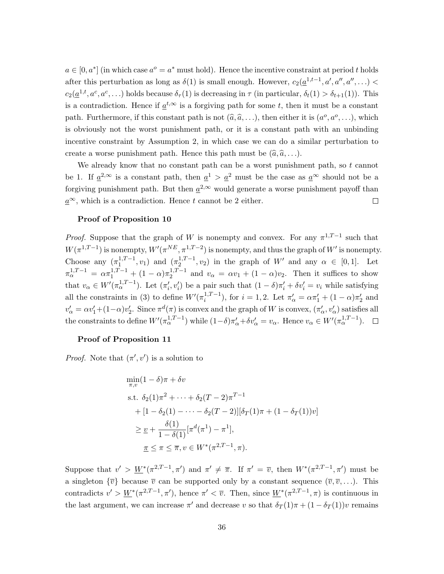$a \in [0, a^*]$  (in which case  $a^o = a^*$  must hold). Hence the incentive constraint at period t holds after this perturbation as long as  $\delta(1)$  is small enough. However,  $c_2(\underline{a}^{1,t-1},a',a'',a'',\ldots)$  $c_2(\underline{a}^{1,t}, a^c, a^c, \ldots)$  holds because  $\delta_{\tau}(1)$  is decreasing in  $\tau$  (in particular,  $\delta_t(1) > \delta_{t+1}(1)$ ). This is a contradiction. Hence if  $\underline{a}^{t,\infty}$  is a forgiving path for some t, then it must be a constant path. Furthermore, if this constant path is not  $(\hat{a}, \hat{a}, \ldots)$ , then either it is  $(a^o, a^o, \ldots)$ , which is obviously not the worst punishment path, or it is a constant path with an unbinding incentive constraint by Assumption 2, in which case we can do a similar perturbation to create a worse punishment path. Hence this path must be  $(\hat{a}, \hat{a}, \ldots)$ .

We already know that no constant path can be a worst punishment path, so  $t$  cannot be 1. If  $\underline{a}^{2,\infty}$  is a constant path, then  $\underline{a}^{1} > \underline{a}^{2}$  must be the case as  $\underline{a}^{\infty}$  should not be a forgiving punishment path. But then  $\underline{a}^{2,\infty}$  would generate a worse punishment payoff than  $a^{\infty}$ , which is a contradiction. Hence t cannot be 2 either.  $\Box$ 

#### Proof of Proposition 10

*Proof.* Suppose that the graph of W is nonempty and convex. For any  $\pi^{1,T-1}$  such that  $W(\pi^{1,T-1})$  is nonempty,  $W'(\pi^{NE}, \pi^{1,T-2})$  is nonempty, and thus the graph of  $W'$  is nonempty. Choose any  $(\pi_1^{1,T-1}, v_1)$  and  $(\pi_2^{1,T-1}, v_2)$  in the graph of W' and any  $\alpha \in [0,1]$ . Let  $\pi_{\alpha}^{1,T-1} = \alpha \pi_1^{1,T-1} + (1-\alpha)\pi_2^{1,T-1}$  and  $v_{\alpha} = \alpha v_1 + (1-\alpha)v_2$ . Then it suffices to show that  $v_{\alpha} \in W'(\pi_{\alpha}^{1,T-1})$ . Let  $(\pi'_i, v'_i)$  be a pair such that  $(1 - \delta)\pi'_i + \delta v'_i = v_i$  while satisfying all the constraints in (3) to define  $W'(\pi_i^{1,T-1})$ , for  $i=1,2$ . Let  $\pi'_\alpha = \alpha \pi'_1 + (1-\alpha)\pi'_2$  and  $v'_\alpha = \alpha v'_1 + (1-\alpha)v'_2$ . Since  $\pi^d(\pi)$  is convex and the graph of W is convex,  $(\pi'_\alpha, v'_\alpha)$  satisfies all the constraints to define  $W'(\pi_\alpha^{1,T-1})$  while  $(1-\delta)\pi'_\alpha + \delta v'_\alpha = v_\alpha$ . Hence  $v_\alpha \in W'(\pi_\alpha^{1,T-1})$ .

#### Proof of Proposition 11

*Proof.* Note that  $(\pi', v')$  is a solution to

$$
\min_{\pi,v} (1 - \delta)\pi + \delta v
$$
\n
$$
\text{s.t. } \delta_2(1)\pi^2 + \dots + \delta_2(T - 2)\pi^{T-1}
$$
\n
$$
+ [1 - \delta_2(1) - \dots - \delta_2(T - 2)][\delta_T(1)\pi + (1 - \delta_T(1))v]
$$
\n
$$
\geq \underline{v} + \frac{\delta(1)}{1 - \delta(1)} [\pi^d(\pi^1) - \pi^1],
$$
\n
$$
\underline{\pi} \leq \pi \leq \overline{\pi}, v \in W^*(\pi^{2,T-1}, \pi).
$$

Suppose that  $v' > \underline{W}^*(\pi^{2,T-1}, \pi')$  and  $\pi' \neq \overline{\pi}$ . If  $\pi' = \overline{v}$ , then  $W^*(\pi^{2,T-1}, \pi')$  must be a singleton  $\{\overline{v}\}\$ because  $\overline{v}$  can be supported only by a constant sequence  $(\overline{v}, \overline{v}, \ldots)$ . This contradicts  $v' > \underline{W}^*(\pi^{2,T-1}, \pi')$ , hence  $\pi' < \overline{v}$ . Then, since  $\underline{W}^*(\pi^{2,T-1}, \pi)$  is continuous in the last argument, we can increase  $\pi'$  and decrease v so that  $\delta_T(1)\pi + (1 - \delta_T(1))\nu$  remains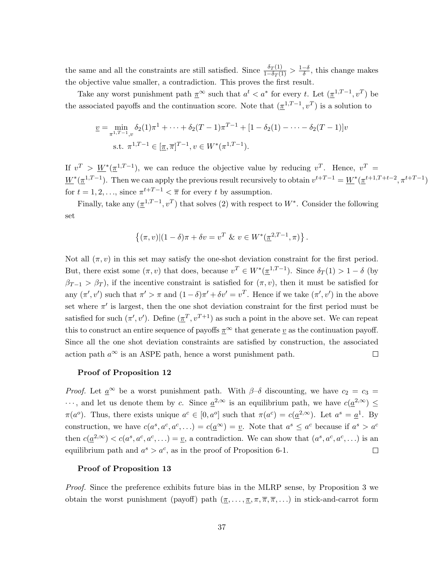the same and all the constraints are still satisfied. Since  $\frac{\delta_T(1)}{1-\delta_T(1)} > \frac{1-\delta}{\delta}$ , this change makes the objective value smaller, a contradiction. This proves the first result.

Take any worst punishment path  $\underline{\pi}^{\infty}$  such that  $a^{t} < a^*$  for every t. Let  $(\underline{\pi}^{1,T-1}, v^{T})$  be the associated payoffs and the continuation score. Note that  $(\underline{\pi}^{1,T-1}, v^T)$  is a solution to

$$
\underline{v} = \min_{\pi^{1,T-1},v} \delta_2(1)\pi^1 + \dots + \delta_2(T-1)\pi^{T-1} + [1 - \delta_2(1) - \dots - \delta_2(T-1)]v
$$
  
s.t.  $\pi^{1,T-1} \in [\underline{\pi}, \overline{\pi}]^{T-1}, v \in W^*(\pi^{1,T-1}).$ 

If  $v^T > W^*(\pi^{1,T-1})$ , we can reduce the objective value by reducing  $v^T$ . Hence,  $v^T =$  $W^*(\pi^{1,T-1})$ . Then we can apply the previous result recursively to obtain  $v^{t+T-1} = W^*(\pi^{t+1,T+t-2}, \pi^{t+T-1})$ for  $t = 1, 2, \ldots$ , since  $\pi^{t+T-1} < \overline{\pi}$  for every t by assumption.

Finally, take any  $(\underline{\pi}^{1,T-1}, v^T)$  that solves (2) with respect to  $W^*$ . Consider the following set

$$
\{(\pi, v) | (1 - \delta)\pi + \delta v = v^T \& v \in W^*(\underline{\pi}^{2,T-1}, \pi)\}.
$$

Not all  $(\pi, v)$  in this set may satisfy the one-shot deviation constraint for the first period. But, there exist some  $(\pi, v)$  that does, because  $v^T \in W^*({\underline{\pi}}^{1,T-1})$ . Since  $\delta_T(1) > 1 - \delta$  (by  $\beta_{T-1} > \beta_T$ , if the incentive constraint is satisfied for  $(\pi, v)$ , then it must be satisfied for any  $(\pi', v')$  such that  $\pi' > \pi$  and  $(1 - \delta)\pi' + \delta v' = v^T$ . Hence if we take  $(\pi', v')$  in the above set where  $\pi'$  is largest, then the one shot deviation constraint for the first period must be satisfied for such  $(\pi', v')$ . Define  $(\underline{\pi}^T, v^{T+1})$  as such a point in the above set. We can repeat this to construct an entire sequence of payoffs  $\pi^{\infty}$  that generate v as the continuation payoff. Since all the one shot deviation constraints are satisfied by construction, the associated action path  $a^{\infty}$  is an ASPE path, hence a worst punishment path.  $\Box$ 

#### Proof of Proposition 12

*Proof.* Let  $\underline{a}^{\infty}$  be a worst punishment path. With  $\beta-\delta$  discounting, we have  $c_2 = c_3 =$  $\cdots$ , and let us denote them by c. Since  $\underline{a}^{2,\infty}$  is an equilibrium path, we have  $c(\underline{a}^{2,\infty}) \leq$  $\pi(a^o)$ . Thus, there exists unique  $a^c \in [0, a^o]$  such that  $\pi(a^c) = c(\underline{a}^{2,\infty})$ . Let  $a^s = \underline{a}^1$ . By construction, we have  $c(a^s, a^c, a^c, \ldots) = c(\underline{a}^{\infty}) = \underline{v}$ . Note that  $a^s \leq a^c$  because if  $a^s > a^c$ then  $c(\underline{a}^{2,\infty}) < c(a^s, a^c, a^c, ...) = \underline{v}$ , a contradiction. We can show that  $(a^s, a^c, a^c, ...)$  is an equilibrium path and  $a^s > a^c$ , as in the proof of Proposition 6-1.  $\Box$ 

#### Proof of Proposition 13

*Proof.* Since the preference exhibits future bias in the MLRP sense, by Proposition 3 we obtain the worst punishment (payoff) path  $(\pi, \ldots, \pi, \pi, \pi, \pi, \ldots)$  in stick-and-carrot form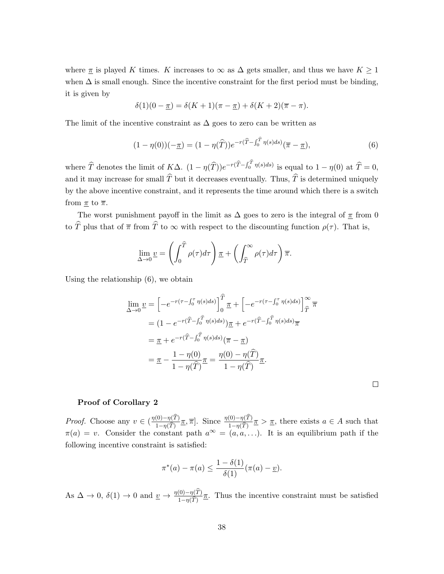where  $\pi$  is played K times. K increases to  $\infty$  as  $\Delta$  gets smaller, and thus we have  $K \geq 1$ when  $\Delta$  is small enough. Since the incentive constraint for the first period must be binding, it is given by

$$
\delta(1)(0-\underline{\pi}) = \delta(K+1)(\pi-\underline{\pi}) + \delta(K+2)(\overline{\pi}-\pi).
$$

The limit of the incentive constraint as  $\Delta$  goes to zero can be written as

$$
(1 - \eta(0))(-\underline{\pi}) = (1 - \eta(\widehat{T}))e^{-r(\widehat{T} - \int_0^{\widehat{T}} \eta(s)ds)}(\overline{\pi} - \underline{\pi}),
$$
\n(6)

where  $\widehat{T}$  denotes the limit of  $K\Delta$ .  $(1 - \eta(\widehat{T}))e^{-r(\widehat{T}-\int_0^T \eta(s)ds)}$  is equal to  $1 - \eta(0)$  at  $\widehat{T} = 0$ , and it may increase for small  $\widehat{T}$  but it decreases eventually. Thus,  $\widehat{T}$  is determined uniquely by the above incentive constraint, and it represents the time around which there is a switch from  $\underline{\pi}$  to  $\overline{\pi}$ .

The worst punishment payoff in the limit as  $\Delta$  goes to zero is the integral of  $\pi$  from 0 to  $\hat{T}$  plus that of  $\bar{\pi}$  from  $\hat{T}$  to  $\infty$  with respect to the discounting function  $\rho(\tau)$ . That is,

$$
\lim_{\Delta \to 0} \underline{v} = \left( \int_0^{\widehat{T}} \rho(\tau) d\tau \right) \underline{\pi} + \left( \int_{\widehat{T}}^{\infty} \rho(\tau) d\tau \right) \overline{\pi}.
$$

Using the relationship (6), we obtain

$$
\lim_{\Delta \to 0} \underline{v} = \left[ -e^{-r(\tau - \int_0^{\tau} \eta(s)ds)} \right]_0^{\widehat{T}} \underline{\pi} + \left[ -e^{-r(\tau - \int_0^{\tau} \eta(s)ds)} \right]_{\widehat{T}}^{\infty} \overline{\pi}
$$
\n
$$
= (1 - e^{-r(\widehat{T} - \int_0^{\widehat{T}} \eta(s)ds)}) \underline{\pi} + e^{-r(\widehat{T} - \int_0^{\widehat{T}} \eta(s)ds)} \overline{\pi}
$$
\n
$$
= \underline{\pi} + e^{-r(\widehat{T} - \int_0^{\widehat{T}} \eta(s)ds)} (\overline{\pi} - \underline{\pi})
$$
\n
$$
= \underline{\pi} - \frac{1 - \eta(0)}{1 - \eta(\widehat{T})} \underline{\pi} = \frac{\eta(0) - \eta(\widehat{T})}{1 - \eta(\widehat{T})} \underline{\pi}.
$$

 $\Box$ 

### Proof of Corollary 2

*Proof.* Choose any  $v \in \left(\frac{\eta(0)-\eta(T)}{1-\eta(T)}\right)$  $1-\eta(T)$  $[\pi, \overline{\pi}]$ . Since  $\frac{\eta(0)-\eta(T)}{1-\eta(\widehat{T})}$  $1-\eta(T)$  $\underline{\pi} > \underline{\pi}$ , there exists  $a \in A$  such that  $\pi(a) = v$ . Consider the constant path  $a^{\infty} = (a, a, \ldots)$ . It is an equilibrium path if the following incentive constraint is satisfied:

$$
\pi^*(a) - \pi(a) \le \frac{1 - \delta(1)}{\delta(1)} (\pi(a) - \underline{v}).
$$

As  $\Delta \to 0$ ,  $\delta(1) \to 0$  and  $\underline{v} \to \frac{\eta(0)-\eta(T)}{1-\eta(\widehat{T})}$  $\frac{(0)-\eta(1)}{1-\eta(\widehat{T})}\pi$ . Thus the incentive constraint must be satisfied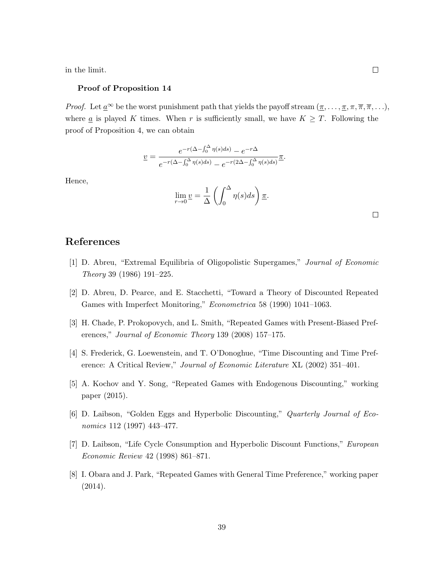in the limit.

#### Proof of Proposition 14

*Proof.* Let  $\underline{a}^{\infty}$  be the worst punishment path that yields the payoff stream  $(\underline{\pi}, \ldots, \underline{\pi}, \pi, \overline{\pi}, \ldots)$ , where  $\underline{a}$  is played K times. When r is sufficiently small, we have  $K \geq T$ . Following the proof of Proposition 4, we can obtain

$$
\underline{v} = \frac{e^{-r(\Delta - \int_0^{\Delta} \eta(s)ds)} - e^{-r\Delta}}{e^{-r(\Delta - \int_0^{\Delta} \eta(s)ds)} - e^{-r(2\Delta - \int_0^{\Delta} \eta(s)ds)}} \underline{\pi}.
$$

Hence,

$$
\lim_{r \to 0} \underline{v} = \frac{1}{\Delta} \left( \int_0^{\Delta} \eta(s) ds \right) \underline{\pi}.
$$

# References

- [1] D. Abreu, "Extremal Equilibria of Oligopolistic Supergames," Journal of Economic Theory 39 (1986) 191–225.
- [2] D. Abreu, D. Pearce, and E. Stacchetti, "Toward a Theory of Discounted Repeated Games with Imperfect Monitoring," Econometrica 58 (1990) 1041–1063.
- [3] H. Chade, P. Prokopovych, and L. Smith, "Repeated Games with Present-Biased Preferences," Journal of Economic Theory 139 (2008) 157–175.
- [4] S. Frederick, G. Loewenstein, and T. O'Donoghue, "Time Discounting and Time Preference: A Critical Review," Journal of Economic Literature XL (2002) 351–401.
- [5] A. Kochov and Y. Song, "Repeated Games with Endogenous Discounting," working paper (2015).
- [6] D. Laibson, "Golden Eggs and Hyperbolic Discounting," Quarterly Journal of Economics 112 (1997) 443–477.
- [7] D. Laibson, "Life Cycle Consumption and Hyperbolic Discount Functions," European Economic Review 42 (1998) 861–871.
- [8] I. Obara and J. Park, "Repeated Games with General Time Preference," working paper (2014).